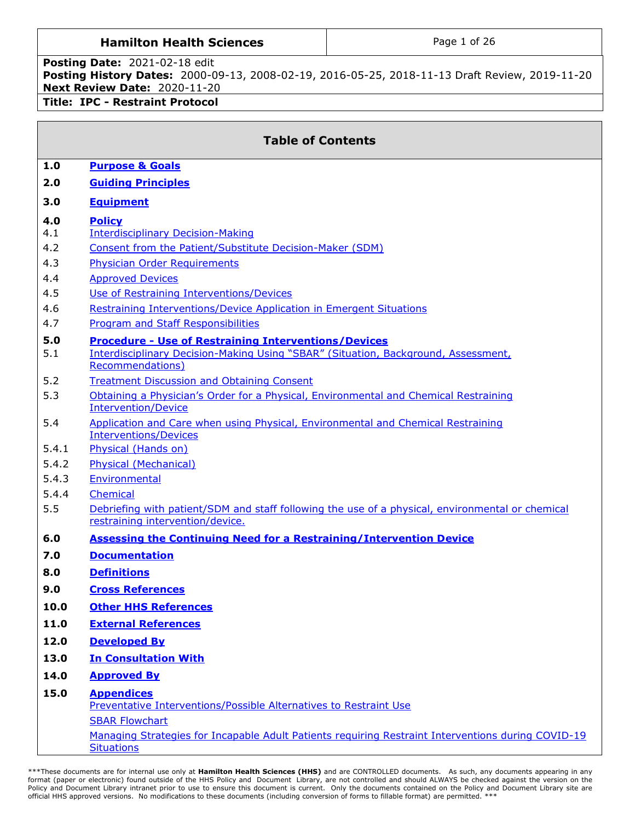## **Hamilton Health Sciences**  $\vert$  **Page 1 of 26**

### **Posting Date:** 2021-02-18 edit **Posting History Dates:** 2000-09-13, 2008-02-19, 2016-05-25, 2018-11-13 Draft Review, 2019-11-20 **Next Review Date:** 2020-11-20 **Title: IPC - Restraint Protocol**

|            | <b>Table of Contents</b>                                                                                                |
|------------|-------------------------------------------------------------------------------------------------------------------------|
| 1.0        | <b>Purpose &amp; Goals</b>                                                                                              |
| 2.0        | <b>Guiding Principles</b>                                                                                               |
| 3.0        | <b>Equipment</b>                                                                                                        |
| 4.0        | <b>Policy</b>                                                                                                           |
| 4.1        | <b>Interdisciplinary Decision-Making</b>                                                                                |
| 4.2        | Consent from the Patient/Substitute Decision-Maker (SDM)                                                                |
| 4.3        | <b>Physician Order Requirements</b>                                                                                     |
| 4.4        | <b>Approved Devices</b>                                                                                                 |
| 4.5        | Use of Restraining Interventions/Devices                                                                                |
| 4.6        | Restraining Interventions/Device Application in Emergent Situations                                                     |
| 4.7        | <b>Program and Staff Responsibilities</b>                                                                               |
| 5.0<br>5.1 | <b>Procedure - Use of Restraining Interventions/Devices</b>                                                             |
|            | Interdisciplinary Decision-Making Using "SBAR" (Situation, Background, Assessment,<br><b>Recommendations)</b>           |
| 5.2        | <b>Treatment Discussion and Obtaining Consent</b>                                                                       |
| 5.3        | Obtaining a Physician's Order for a Physical, Environmental and Chemical Restraining<br><b>Intervention/Device</b>      |
| 5.4        | Application and Care when using Physical, Environmental and Chemical Restraining<br><b>Interventions/Devices</b>        |
| 5.4.1      | Physical (Hands on)                                                                                                     |
| 5.4.2      | <b>Physical (Mechanical)</b>                                                                                            |
| 5.4.3      | Environmental                                                                                                           |
| 5.4.4      | Chemical                                                                                                                |
| 5.5        | Debriefing with patient/SDM and staff following the use of a physical, environmental or chemical                        |
|            | restraining intervention/device.                                                                                        |
| 6.0        | <b>Assessing the Continuing Need for a Restraining/Intervention Device</b>                                              |
| 7.0        | <b>Documentation</b>                                                                                                    |
| 8.0        | <b>Definitions</b>                                                                                                      |
| 9.0        | <b>Cross References</b>                                                                                                 |
| 10.0       | <b>Other HHS References</b>                                                                                             |
| 11.0       | <b>External References</b>                                                                                              |
| 12.0       | <b>Developed By</b>                                                                                                     |
| 13.0       | <b>In Consultation With</b>                                                                                             |
| 14.0       | <b>Approved By</b>                                                                                                      |
| 15.0       | <b>Appendices</b><br>Preventative Interventions/Possible Alternatives to Restraint Use                                  |
|            | <b>SBAR Flowchart</b>                                                                                                   |
|            | Managing Strategies for Incapable Adult Patients requiring Restraint Interventions during COVID-19<br><b>Situations</b> |
|            |                                                                                                                         |

\*\*\*These documents are for internal use only at **Hamilton Health Sciences (HHS)** and are CONTROLLED documents. As such, any documents appearing in any<br>format (paper or electronic) found outside of the HHS Policy and Docume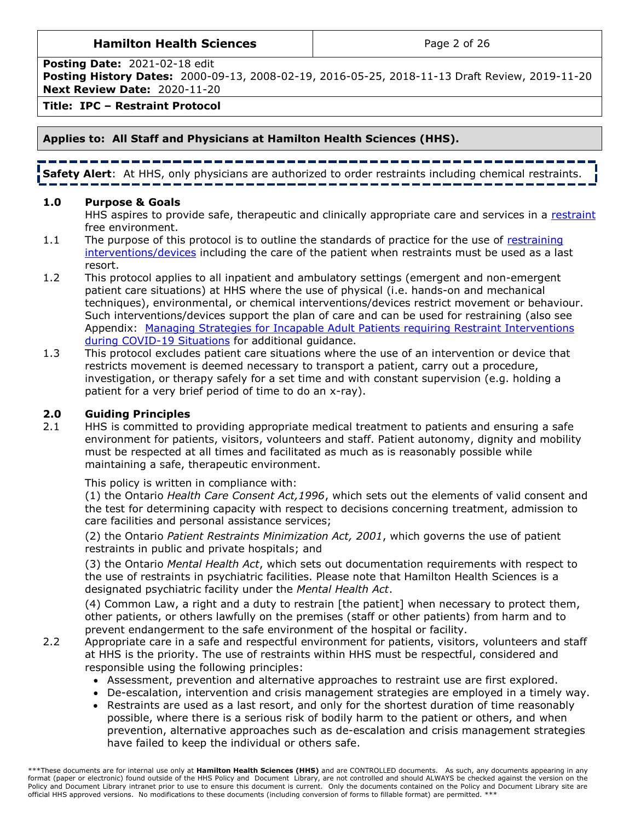### **Hamilton Health Sciences Page 2 of 26**

**Posting Date:** 2021-02-18 edit

**Posting History Dates:** 2000-09-13, 2008-02-19, 2016-05-25, 2018-11-13 Draft Review, 2019-11-20 **Next Review Date:** 2020-11-20

**Title: IPC – Restraint Protocol** 

## **Applies to: All Staff and Physicians at Hamilton Health Sciences (HHS).**

**Safety Alert**: At HHS, only physicians are authorized to order restraints including chemical restraints.

## **1.0 Purpose & Goals**

<span id="page-1-0"></span>HHS aspires to provide safe, therapeutic and clinically appropriate care and services in a [restraint](#page-11-1) free environment.

- 1.1 The purpose of this protocol is to outline the standards of practice for the use of restraining [interventions/devices](#page-11-2) including the care of the patient when restraints must be used as a last resort.
- 1.2 This protocol applies to all i[npatient](#page-11-3) and ambulatory settings (emergent and non-emergent patient care situations) at HHS where the use of physical (i.e. hands-on and mechanical techniques), environmental, or chemical interventions/devices restrict movement or behaviour. Such interventions/devices support the plan of care and can be used for restraining (also see Appendix: Managing Strategies for Incapable [Adult Patients requiring Restraint Interventions](#page-20-0)  [during COVID-19 Situations](#page-20-0) for additional guidance.
- 1.3 This protocol excludes patient care situations where the use of an intervention or device that restricts movement is deemed necessary to transport a patient, carry out a procedure, investigation, or therapy safely for a set time and with constant supervision (e.g. holding a patient for a very brief period of time to do an x-ray).

## <span id="page-1-1"></span>**2.0 Guiding Principles**

2.1 HHS is committed to providing appropriate medical treatment to patients and ensuring a safe environment for patients, visitors, volunteers and staff. Patient autonomy, dignity and mobility must be respected at all times and facilitated as much as is reasonably possible while maintaining a safe, therapeutic environment.

This policy is written in compliance with:

(1) the Ontario *Health Care Consent Act,1996*, which sets out the elements of valid consent and the test for determining capacity with respect to decisions concerning treatment, admission to care facilities and personal assistance services;

(2) the Ontario *Patient Restraints Minimization Act, 2001*, which governs the use of patient restraints in public and private hospitals; and

(3) the Ontario *Mental Health Act*, which sets out documentation requirements with respect to the use of restraints in psychiatric facilities. Please note that Hamilton Health Sciences is a designated psychiatric facility under the *Mental Health Act*.

(4) Common Law, a right and a duty to restrain [the patient] when necessary to protect them, other patients, or others lawfully on the premises (staff or other patients) from harm and to prevent endangerment to the safe environment of the hospital or facility.

- 2.2 Appropriate care in a safe and respectful environment for patients, visitors, volunteers and staff at HHS is the priority. The use of restraints within HHS must be respectful, considered and responsible using the following principles:
	- Assessment, prevention and alternative approaches to restraint use are first explored.
	- De-escalation, intervention and crisis management strategies are employed in a timely way.
	- Restraints are used as a last resort, and only for the shortest duration of time reasonably possible, where there is a serious risk of bodily harm to the patient or others, and when prevention, alternative approaches such as de-escalation and crisis management strategies have failed to keep the individual or others safe.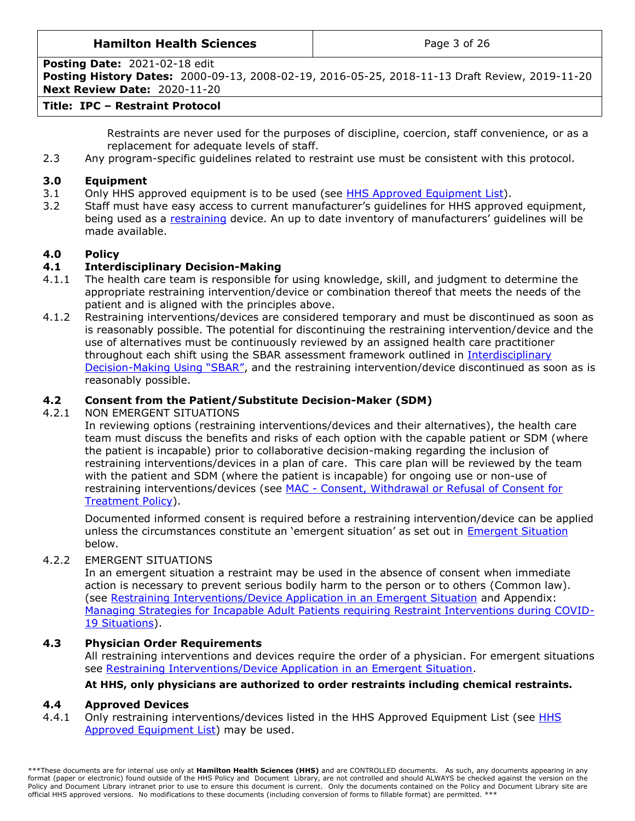### **Hamilton Health Sciences**  $\qquad$  |  $\qquad$  Page 3 of 26

**Posting Date:** 2021-02-18 edit

**Posting History Dates:** 2000-09-13, 2008-02-19, 2016-05-25, 2018-11-13 Draft Review, 2019-11-20 **Next Review Date:** 2020-11-20

## **Title: IPC – Restraint Protocol**

Restraints are never used for the purposes of discipline, coercion, staff convenience, or as a replacement for adequate levels of staff.

2.3 Any program-specific guidelines related to restraint use must be consistent with this protocol.

## <span id="page-2-0"></span>**3.0 Equipment**

- 3.1 Only HHS approved equipment is to be used (see [HHS Approved](https://ishare.hhsc.ca/sites/committees/cbp/Documents/List%20of%20HHS%20Mechanical%20Restraints%20March%202019.pdf) Equipment List).
- 3.2 Staff must have easy access to current manufacturer's guidelines for HHS approved equipment, being used as a [restraining](#page-11-1) device. An up to date inventory of manufacturers' guidelines will be made available.

# <span id="page-2-1"></span>**4.0 Policy**

## <span id="page-2-2"></span>**4.1 Interdisciplinary Decision-Making**

- 4.1.1 The health care team is responsible for using knowledge, skill, and judgment to determine the appropriate restraining intervention/device or combination thereof that meets the needs of the patient and is aligned with the principles above.
- 4.1.2 Restraining interventions/devices are considered temporary and must be discontinued as soon as is reasonably possible. The potential for discontinuing the restraining intervention/device and the use of alternatives must be continuously reviewed by an assigned health care practitioner throughout each shift using the SBAR assessment framework outlined in [Interdisciplinary](#page-19-0)  Decision-[Making Using "SBAR"](#page-19-0), and the restraining intervention/device discontinued as soon as is reasonably possible.

## **4.2 Consent from the Patient/Substitute Decision-Maker (SDM)**

## 4.2.1 NON EMERGENT SITUATIONS

<span id="page-2-3"></span>In reviewing options (restraining interventions/devices and their alternatives), the health care team must discuss the benefits and risks of each option with the capable patient or SDM (where the patient is incapable) prior to collaborative decision-making regarding the inclusion of restraining interventions/devices in a plan of care. This care plan will be reviewed by the team with the patient and SDM (where the patient is incapable) for ongoing use or non-use of restraining interventions/devices (see MAC - Consent, Withdrawal or Refusal of Consent for [Treatment Policy\)](http://policy.hhsc.ca/default.aspx?page=11&class27.IdType=policy&class27.Id=60699).

Documented informed consent is required before a restraining intervention/device can be applied unless the circumstances constitute an 'emergent situation' as set out in [Emergent Situation](#page-2-6) below.

## 4.2.2 EMERGENT SITUATIONS

<span id="page-2-6"></span>In an emergent situation a restraint may be used in the absence of consent when immediate action is necessary to prevent serious bodily harm to the person or to others (Common law). (see Restraining [Interventions/Device Application in an Emergent Situation](#page-3-1) and Appendix: Managing Strategies for Incapable [Adult Patients requiring Restraint Interventions during COVID-](#page-20-0)[19 Situations\)](#page-20-0).

## **4.3 Physician Order Requirements**

<span id="page-2-4"></span>All restraining interventions and devices require the order of a physician. For emergent situations see [Restraining Interventions/Device Application in an Emergent Situation.](#page-3-1)

## <span id="page-2-5"></span>**At HHS, only physicians are authorized to order restraints including chemical restraints.**

## **4.4 Approved Devices**

4.4.1 Only restraining interventions/devices listed in the [HHS](https://ishare.hhsc.ca/sites/committees/cbp/Documents/List%20of%20HHS%20Mechanical%20Restraints%20March%202019.pdf) Approved Equipment List (see HHS [Approved Equipment List\)](https://ishare.hhsc.ca/sites/committees/cbp/Documents/List%20of%20HHS%20Mechanical%20Restraints%20March%202019.pdf) may be used.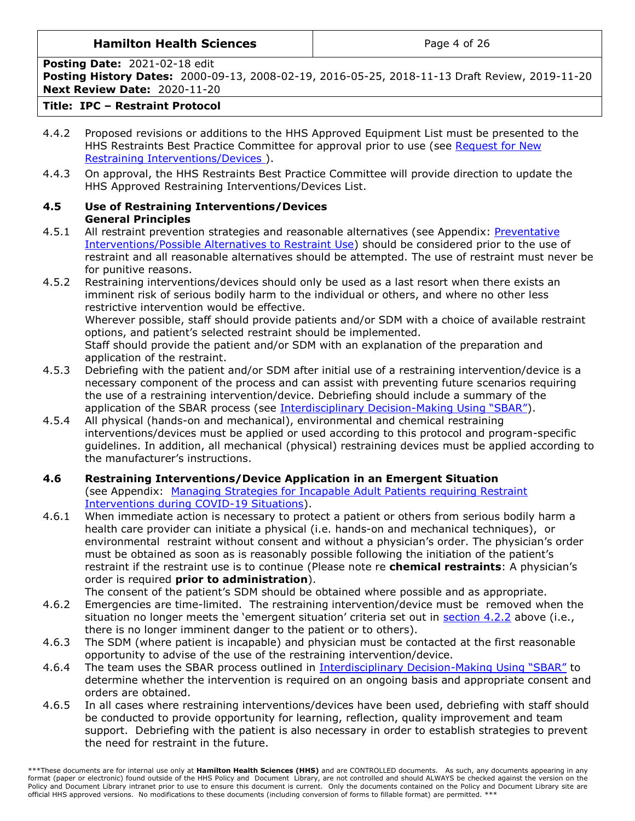## **Hamilton Health Sciences**  $\qquad$  |  $\qquad$  Page 4 of 26

**Posting Date:** 2021-02-18 edit

**Posting History Dates:** 2000-09-13, 2008-02-19, 2016-05-25, 2018-11-13 Draft Review, 2019-11-20 **Next Review Date:** 2020-11-20

## **Title: IPC – Restraint Protocol**

- 4.4.2 Proposed revisions or additions to the HHS Approved Equipment List must be presented to the HHS Restraints Best Practice Committee for approval prior to use (see [Request for New](https://ishare.hhsc.ca/corporate/psc/RequisitionToPurchase/eRTP/SitePages/Home.aspx) [Restraining Interventions/Devices](https://ishare.hhsc.ca/corporate/psc/RequisitionToPurchase/eRTP/SitePages/Home.aspx) ).
- 4.4.3 On approval, the HHS Restraints Best Practice Committee will provide direction to update the HHS Approved Restraining Interventions/Devices List.
- <span id="page-3-0"></span>**4.5 Use of Restraining Interventions/Devices General Principles**
- 4.5.1 All restraint prevention strategies and reasonable alternatives (see Appendix: [Preventative](#page-14-0)  [Interventions/Possible Alternatives to Restraint Use\)](#page-14-0) should be considered prior to the use of restraint and all reasonable alternatives should be attempted. The use of restraint must never be for punitive reasons.
- 4.5.2 Restraining interventions/devices should only be used as a last resort when there exists an imminent risk of serious bodily harm to the individual or others, and where no other less restrictive intervention would be effective.

Wherever possible, staff should provide patients and/or SDM with a choice of available restraint options, and patient's selected restraint should be implemented.

Staff should provide the patient and/or SDM with an explanation of the preparation and application of the restraint.

- 4.5.3 Debriefing with the patient and/or SDM after initial use of a restraining intervention/device is a necessary component of the process and can assist with preventing future scenarios requiring the use of a restraining intervention/device. Debriefing should include a summary of the application of the SBAR process (see [Interdisciplinary Decision-](#page-4-2)Making Using "SBAR").
- 4.5.4 All physical (hands-on and mechanical), environmental and chemical restraining interventions/devices must be applied or used according to this protocol and program-specific guidelines. In addition, all mechanical (physical) restraining devices must be applied according to the manufacturer's instructions.
- <span id="page-3-1"></span>**4.6 Restraining Interventions/Device Application in an Emergent Situation** (see Appendix: [Managing Strategies for Incapable Adult Patients requiring Restraint](#page-20-0)  [Interventions during COVID-19 Situations\)](#page-20-0).
- 4.6.1 When immediate action is necessary to protect a patient or others from serious bodily harm a health care provider can initiate a physical (i.e. hands-on and mechanical techniques), or environmental restraint without consent and without a physician's order. The physician's order must be obtained as soon as is reasonably possible following the initiation of the patient's restraint if the restraint use is to continue (Please note re **chemical restraints**: A physician's order is required **prior to administration**).

The consent of the patient's SDM should be obtained where possible and as appropriate.

- 4.6.2 Emergencies are time-limited. The restraining intervention/device must be removed when the situation no longer meets the 'emergent situation' criteria set out in [section 4.2.2](#page-2-6) above (i.e., there is no longer imminent danger to the patient or to others).
- 4.6.3 The SDM (where patient is incapable) and physician must be contacted at the first reasonable opportunity to advise of the use of the restraining intervention/device.
- 4.6.4 The team uses the SBAR process outlined in [Interdisciplinary Decision-](#page-19-0)Making Using "SBAR" to determine whether the intervention is required on an ongoing basis and appropriate consent and orders are obtained.
- 4.6.5 In all cases where restraining interventions/devices have been used, debriefing with staff should be conducted to provide opportunity for learning, reflection, quality improvement and team support. Debriefing with the patient is also necessary in order to establish strategies to prevent the need for restraint in the future.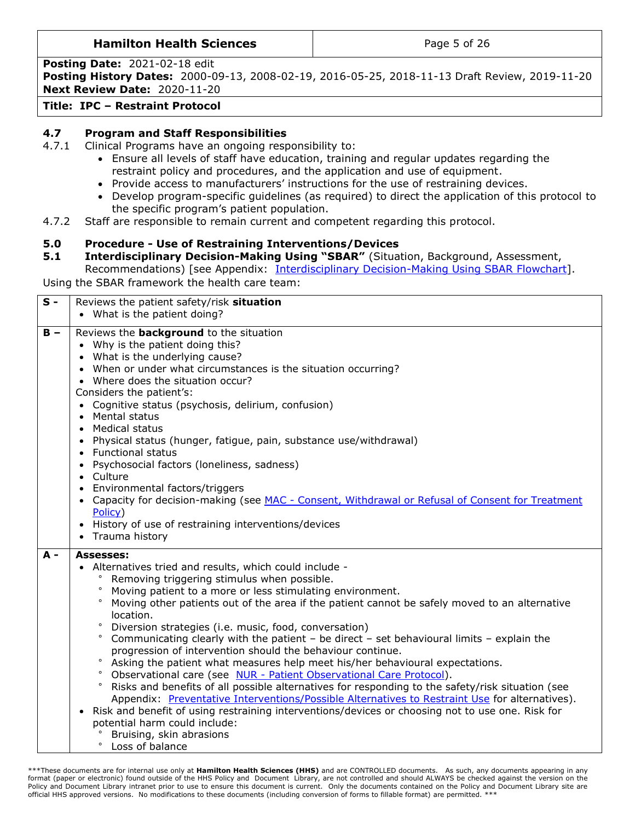Page 5 of 26

**Posting Date:** 2021-02-18 edit

**Posting History Dates:** 2000-09-13, 2008-02-19, 2016-05-25, 2018-11-13 Draft Review, 2019-11-20 **Next Review Date:** 2020-11-20

**Title: IPC – Restraint Protocol** 

# <span id="page-4-0"></span>**4.7 Program and Staff Responsibilities**

- 4.7.1 Clinical Programs have an ongoing responsibility to:
	- Ensure all levels of staff have education, training and regular updates regarding the restraint policy and procedures, and the application and use of equipment.
	- Provide access to manufacturers' instructions for the use of restraining devices.
	- Develop program-specific guidelines (as required) to direct the application of this protocol to the specific program's patient population.
- 4.7.2 Staff are responsible to remain current and competent regarding this protocol.

# <span id="page-4-1"></span>**5.0 Procedure - Use of Restraining Interventions/Devices**

<span id="page-4-2"></span>**5.1 Interdisciplinary Decision-Making Using "SBAR"** (Situation, Background, Assessment, Recommendations) [see Appendix: [Interdisciplinary Decision-Making Using SBAR](#page-19-0) Flowchart].

Using the SBAR framework the health care team:

| $S -$ | Reviews the patient safety/risk situation                                                                                                                                                                                                                                                                                                                                                                                                                                                                                                                                                                                                                                                                                                                                                                                                                                                                                                                                                                                                                                                                                                               |
|-------|---------------------------------------------------------------------------------------------------------------------------------------------------------------------------------------------------------------------------------------------------------------------------------------------------------------------------------------------------------------------------------------------------------------------------------------------------------------------------------------------------------------------------------------------------------------------------------------------------------------------------------------------------------------------------------------------------------------------------------------------------------------------------------------------------------------------------------------------------------------------------------------------------------------------------------------------------------------------------------------------------------------------------------------------------------------------------------------------------------------------------------------------------------|
|       | • What is the patient doing?                                                                                                                                                                                                                                                                                                                                                                                                                                                                                                                                                                                                                                                                                                                                                                                                                                                                                                                                                                                                                                                                                                                            |
| $B -$ | Reviews the <b>background</b> to the situation<br>• Why is the patient doing this?<br>• What is the underlying cause?<br>• When or under what circumstances is the situation occurring?<br>• Where does the situation occur?<br>Considers the patient's:<br>• Cognitive status (psychosis, delirium, confusion)<br>• Mental status<br>• Medical status<br>• Physical status (hunger, fatigue, pain, substance use/withdrawal)<br>• Functional status<br>• Psychosocial factors (loneliness, sadness)<br>• Culture<br>• Environmental factors/triggers<br>• Capacity for decision-making (see MAC - Consent, Withdrawal or Refusal of Consent for Treatment<br>Policy)<br>• History of use of restraining interventions/devices<br>• Trauma history                                                                                                                                                                                                                                                                                                                                                                                                      |
| $A -$ | <b>Assesses:</b><br>• Alternatives tried and results, which could include -<br>Removing triggering stimulus when possible.<br>$\circ$<br>Moving patient to a more or less stimulating environment.<br>$\circ$<br>Moving other patients out of the area if the patient cannot be safely moved to an alternative<br>location.<br>$\circ$<br>Diversion strategies (i.e. music, food, conversation)<br>$\circ$<br>Communicating clearly with the patient - be direct - set behavioural limits - explain the<br>progression of intervention should the behaviour continue.<br>$\circ$<br>Asking the patient what measures help meet his/her behavioural expectations.<br>Observational care (see NUR - Patient Observational Care Protocol).<br>Risks and benefits of all possible alternatives for responding to the safety/risk situation (see<br>$\circ$<br>Appendix: Preventative Interventions/Possible Alternatives to Restraint Use for alternatives).<br>Risk and benefit of using restraining interventions/devices or choosing not to use one. Risk for<br>potential harm could include:<br>Bruising, skin abrasions<br>$\circ$<br>Loss of balance |

\*\*\*These documents are for internal use only at **Hamilton Health Sciences (HHS)** and are CONTROLLED documents. As such, any documents appearing in any format (paper or electronic) found outside of the HHS Policy and Document Library, are not controlled and should ALWAYS be checked against the version on the Policy and Document Library intranet prior to use to ensure this document is current. Only the documents contained on the Policy and Document Library site are official HHS approved versions. No modifications to these documents (including conversion of forms to fillable format) are permitted. \*\*\*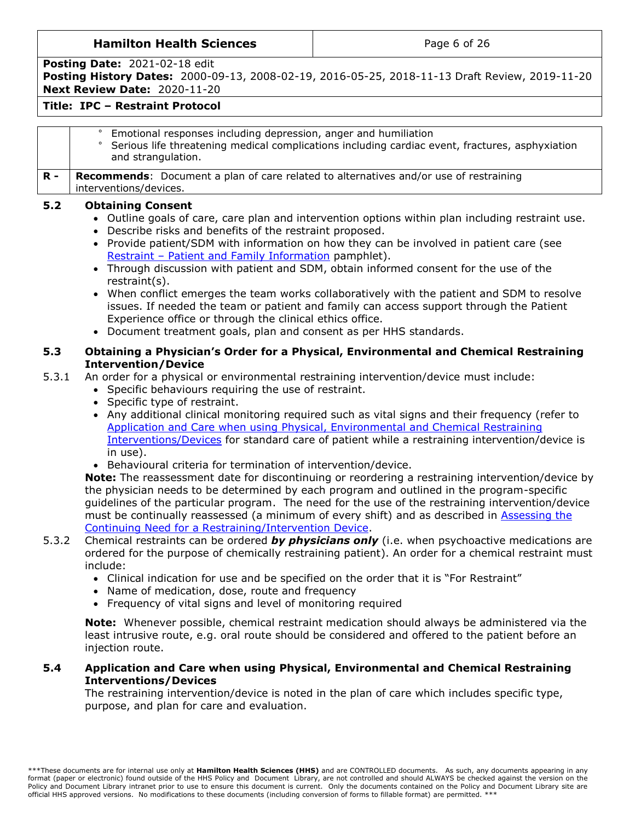Page 6 of 26

**Posting Date:** 2021-02-18 edit

**Posting History Dates:** 2000-09-13, 2008-02-19, 2016-05-25, 2018-11-13 Draft Review, 2019-11-20 **Next Review Date:** 2020-11-20

## **Title: IPC – Restraint Protocol**

<span id="page-5-1"></span><span id="page-5-0"></span>

|              | Emotional responses including depression, anger and humiliation<br>Serious life threatening medical complications including cardiac event, fractures, asphyxiation<br>and strangulation.                                                                                                                                                                                                                                                                                                                                                                                                                                                                                                                                                                                                                                                                                                                                                                                                                                                                                          |
|--------------|-----------------------------------------------------------------------------------------------------------------------------------------------------------------------------------------------------------------------------------------------------------------------------------------------------------------------------------------------------------------------------------------------------------------------------------------------------------------------------------------------------------------------------------------------------------------------------------------------------------------------------------------------------------------------------------------------------------------------------------------------------------------------------------------------------------------------------------------------------------------------------------------------------------------------------------------------------------------------------------------------------------------------------------------------------------------------------------|
| $R -$        | <b>Recommends:</b> Document a plan of care related to alternatives and/or use of restraining<br>interventions/devices.                                                                                                                                                                                                                                                                                                                                                                                                                                                                                                                                                                                                                                                                                                                                                                                                                                                                                                                                                            |
| 5.2          | <b>Obtaining Consent</b><br>. Outline goals of care, care plan and intervention options within plan including restraint use.<br>Describe risks and benefits of the restraint proposed.<br>• Provide patient/SDM with information on how they can be involved in patient care (see<br>Restraint - Patient and Family Information pamphlet).<br>• Through discussion with patient and SDM, obtain informed consent for the use of the<br>restraint(s).<br>When conflict emerges the team works collaboratively with the patient and SDM to resolve<br>issues. If needed the team or patient and family can access support through the Patient<br>Experience office or through the clinical ethics office.<br>• Document treatment goals, plan and consent as per HHS standards.                                                                                                                                                                                                                                                                                                     |
| 5.3<br>5.3.1 | Obtaining a Physician's Order for a Physical, Environmental and Chemical Restraining<br><b>Intervention/Device</b><br>An order for a physical or environmental restraining intervention/device must include:<br>• Specific behaviours requiring the use of restraint.<br>• Specific type of restraint.<br>• Any additional clinical monitoring required such as vital signs and their frequency (refer to<br>Application and Care when using Physical, Environmental and Chemical Restraining<br>Interventions/Devices for standard care of patient while a restraining intervention/device is<br>in use).<br>• Behavioural criteria for termination of intervention/device.<br>Note: The reassessment date for discontinuing or reordering a restraining intervention/device by<br>the physician needs to be determined by each program and outlined in the program-specific<br>guidelines of the particular program. The need for the use of the restraining intervention/device<br>must be continually reassessed (a minimum of every shift) and as described in Assessing the |
| 5.3.2        | Continuing Need for a Restraining/Intervention Device.<br>Chemical restraints can be ordered by physicians only (i.e. when psychoactive medications are<br>ordered for the purpose of chemically restraining patient). An order for a chemical restraint must<br>include:<br>• Clinical indication for use and be specified on the order that it is "For Restraint"<br>• Name of medication, dose, route and frequency<br>• Frequency of vital signs and level of monitoring required                                                                                                                                                                                                                                                                                                                                                                                                                                                                                                                                                                                             |

**Note:** Whenever possible, chemical restraint medication should always be administered via the least intrusive route, e.g. oral route should be considered and offered to the patient before an injection route.

#### **5.4 Application and Care when using Physical, Environmental and Chemical Restraining Interventions/Devices**

<span id="page-5-2"></span>The restraining intervention/device is noted in the plan of care which includes specific type, purpose, and plan for care and evaluation.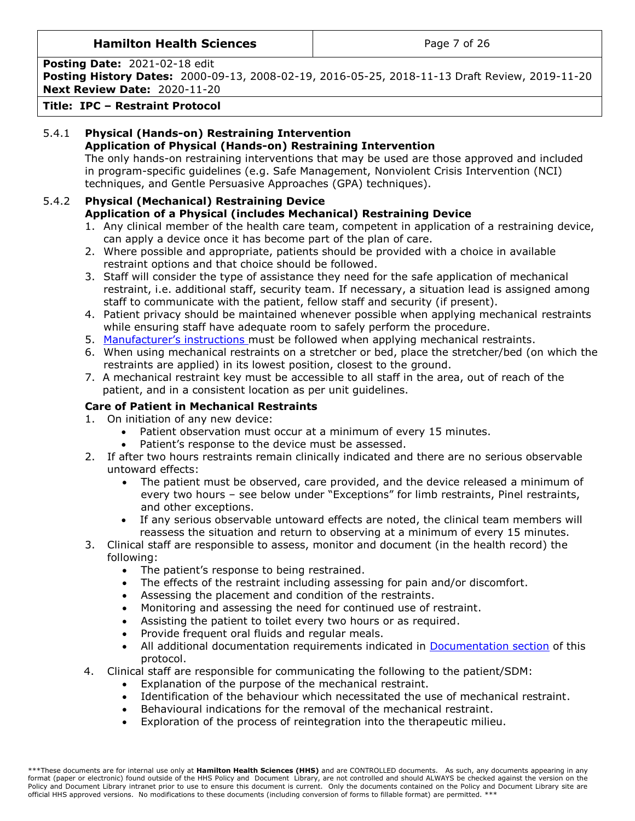## **Hamilton Health Sciences Page 7 of 26**

**Posting Date:** 2021-02-18 edit

**Posting History Dates:** 2000-09-13, 2008-02-19, 2016-05-25, 2018-11-13 Draft Review, 2019-11-20 **Next Review Date:** 2020-11-20

**Title: IPC – Restraint Protocol** 

# 5.4.1 **Physical (Hands-on) Restraining Intervention Application of Physical (Hands-on) Restraining Intervention**

<span id="page-6-0"></span>The only hands-on restraining interventions that may be used are those approved and included in program-specific guidelines (e.g. Safe Management, Nonviolent Crisis Intervention (NCI) techniques, and Gentle Persuasive Approaches (GPA) techniques).

## 5.4.2 **Physical (Mechanical) Restraining Device Application of a Physical (includes Mechanical) Restraining Device**

- <span id="page-6-1"></span>1. Any clinical member of the health care team, competent in application of a restraining device, can apply a device once it has become part of the plan of care.
- 2. Where possible and appropriate, patients should be provided with a choice in available restraint options and that choice should be followed.
- 3. Staff will consider the type of assistance they need for the safe application of mechanical restraint, i.e. additional staff, security team. If necessary, a situation lead is assigned among staff to communicate with the patient, fellow staff and security (if present).
- 4. Patient privacy should be maintained whenever possible when applying mechanical restraints while ensuring staff have adequate room to safely perform the procedure.
- 5. [Manufacturer's instructions](https://ishare.hhsc.ca/sites/committees/cbp/PublishingImages/Pages/Restraints-Clinical-Best-Practice-Committee/List%20of%20HHS%20Mechanical%20Restraints%20March%202019.pdf) must be followed when applying mechanical restraints.
- 6. When using mechanical restraints on a stretcher or bed, place the stretcher/bed (on which the restraints are applied) in its lowest position, closest to the ground.
- 7. A mechanical restraint key must be accessible to all staff in the area, out of reach of the patient, and in a consistent location as per unit guidelines.

# **Care of Patient in Mechanical Restraints**

- 1. On initiation of any new device:
	- Patient observation must occur at a minimum of every 15 minutes.
	- Patient's response to the device must be assessed.
- 2. If after two hours restraints remain clinically indicated and there are no serious observable untoward effects:
	- The patient must be observed, care provided, and the device released a minimum of every two hours – see below under "Exceptions" for limb restraints, Pinel restraints, and other exceptions.
	- If any serious observable untoward effects are noted, the clinical team members will reassess the situation and return to observing at a minimum of every 15 minutes.
- 3. Clinical staff are responsible to assess, monitor and document (in the health record) the following:
	- The patient's response to being restrained.
	- The effects of the restraint including assessing for pain and/or discomfort.
	- Assessing the placement and condition of the restraints.
	- Monitoring and assessing the need for continued use of restraint.
	- Assisting the patient to toilet every two hours or as required.
	- Provide frequent oral fluids and regular meals.
	- All additional documentation requirements indicated in [Documentation section](#page-10-2) of this protocol.
- 4. Clinical staff are responsible for communicating the following to the patient/SDM:
	- Explanation of the purpose of the mechanical restraint.
	- Identification of the behaviour which necessitated the use of mechanical restraint.
	- Behavioural indications for the removal of the mechanical restraint.
	- Exploration of the process of reintegration into the therapeutic milieu.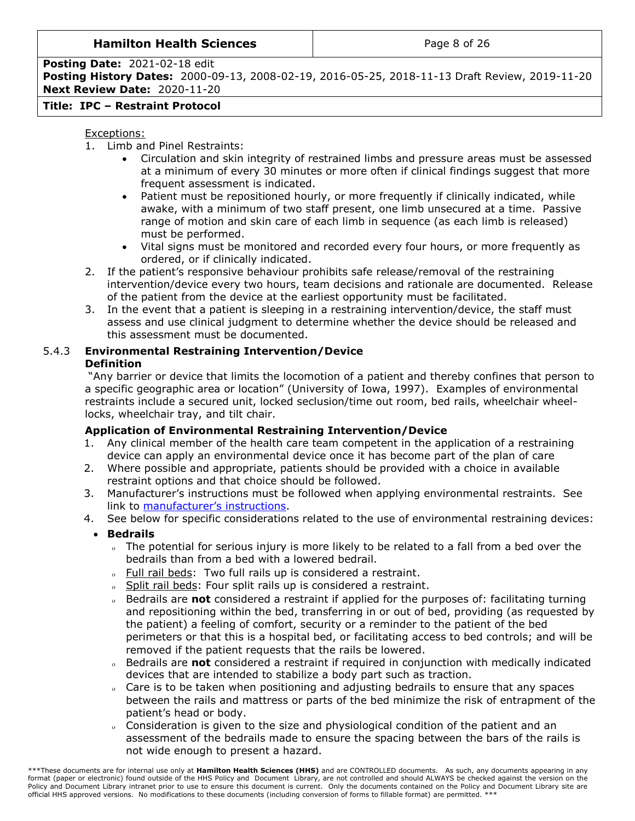### **Hamilton Health Sciences Page 8 of 26**

#### **Posting Date:** 2021-02-18 edit **Posting History Dates:** 2000-09-13, 2008-02-19, 2016-05-25, 2018-11-13 Draft Review, 2019-11-20 **Next Review Date:** 2020-11-20

# **Title: IPC – Restraint Protocol**

## Exceptions:

- 1. Limb and Pinel Restraints:
	- Circulation and skin integrity of restrained limbs and pressure areas must be assessed at a minimum of every 30 minutes or more often if clinical findings suggest that more frequent assessment is indicated.
	- Patient must be repositioned hourly, or more frequently if clinically indicated, while awake, with a minimum of two staff present, one limb unsecured at a time. Passive range of motion and skin care of each limb in sequence (as each limb is released) must be performed.
	- Vital signs must be monitored and recorded every four hours, or more frequently as ordered, or if clinically indicated.
- 2. If the patient's responsive behaviour prohibits safe release/removal of the restraining intervention/device every two hours, team decisions and rationale are documented. Release of the patient from the device at the earliest opportunity must be facilitated.
- 3. In the event that a patient is sleeping in a restraining intervention/device, the staff must assess and use clinical judgment to determine whether the device should be released and this assessment must be documented.

# 5.4.3 **Environmental Restraining Intervention/Device Definition**

<span id="page-7-0"></span>"Any barrier or device that limits the locomotion of a patient and thereby confines that person to a specific geographic area or location" (University of Iowa, 1997). Examples of environmental restraints include a secured unit, locked seclusion/time out room, bed rails, wheelchair wheellocks, wheelchair tray, and tilt chair.

# **Application of Environmental Restraining Intervention/Device**

- 1. Any clinical member of the health care team competent in the application of a restraining device can apply an environmental device once it has become part of the plan of care
- 2. Where possible and appropriate, patients should be provided with a choice in available restraint options and that choice should be followed.
- 3. Manufacturer's instructions must be followed when applying environmental restraints. See link to [manufacturer's instructions](https://ishare.hhsc.ca/sites/committees/cbp/PublishingImages/Pages/Restraints-Clinical-Best-Practice-Committee/List%20of%20HHS%20Mechanical%20Restraints%20March%202019.pdf).
- 4. See below for specific considerations related to the use of environmental restraining devices:
	- **Bedrails**
		- The potential for serious injury is more likely to be related to a fall from a bed over the bedrails than from a bed with a lowered bedrail.
		- . Full rail beds: Two full rails up is considered a restraint.
		- o Split rail beds: Four split rails up is considered a restraint.
		- Bedrails are **not** considered a restraint if applied for the purposes of: facilitating turning and repositioning within the bed, transferring in or out of bed, providing (as requested by the patient) a feeling of comfort, security or a reminder to the patient of the bed perimeters or that this is a hospital bed, or facilitating access to bed controls; and will be removed if the patient requests that the rails be lowered.
		- Bedrails are **not** considered a restraint if required in conjunction with medically indicated devices that are intended to stabilize a body part such as traction.
		- Care is to be taken when positioning and adjusting bedrails to ensure that any spaces between the rails and mattress or parts of the bed minimize the risk of entrapment of the patient's head or body.
		- Consideration is given to the size and physiological condition of the patient and an assessment of the bedrails made to ensure the spacing between the bars of the rails is not wide enough to present a hazard.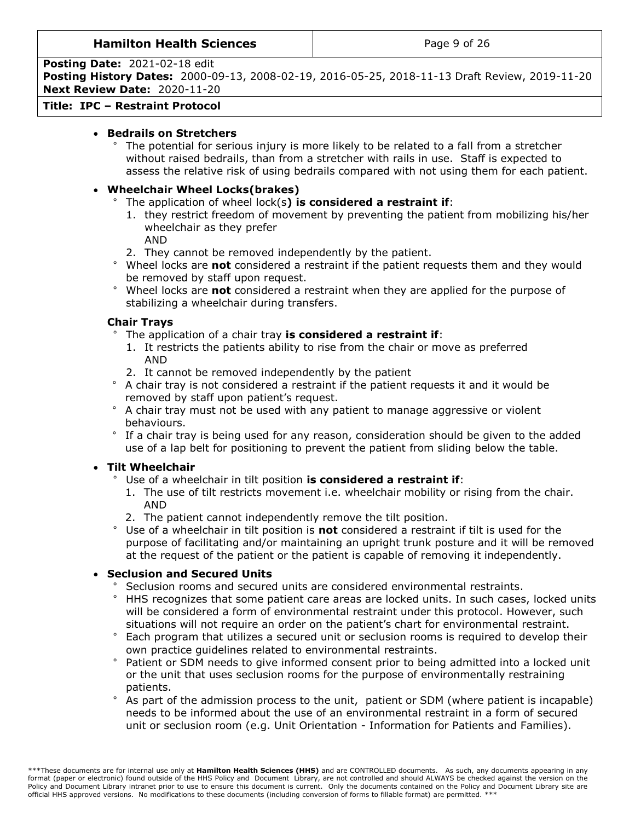**Posting Date:** 2021-02-18 edit

**Posting History Dates:** 2000-09-13, 2008-02-19, 2016-05-25, 2018-11-13 Draft Review, 2019-11-20 **Next Review Date:** 2020-11-20

### **Title: IPC – Restraint Protocol**

## **Bedrails on Stretchers**

° The potential for serious injury is more likely to be related to a fall from a stretcher without raised bedrails, than from a stretcher with rails in use. Staff is expected to assess the relative risk of using bedrails compared with not using them for each patient.

## **Wheelchair Wheel Locks(brakes)**

## ° The application of wheel lock(s**) is considered a restraint if**:

- 1. they restrict freedom of movement by preventing the patient from mobilizing his/her wheelchair as they prefer
	- AND
- 2. They cannot be removed independently by the patient.
- ° Wheel locks are **not** considered a restraint if the patient requests them and they would be removed by staff upon request.
- ° Wheel locks are **not** considered a restraint when they are applied for the purpose of stabilizing a wheelchair during transfers.

## **Chair Trays**

- ° The application of a chair tray **is considered a restraint if**:
	- 1. It restricts the patients ability to rise from the chair or move as preferred AND
	- 2. It cannot be removed independently by the patient
- ° A chair tray is not considered a restraint if the patient requests it and it would be removed by staff upon patient's request.
- ° A chair tray must not be used with any patient to manage aggressive or violent behaviours.
- ° If a chair tray is being used for any reason, consideration should be given to the added use of a lap belt for positioning to prevent the patient from sliding below the table.

#### **Tilt Wheelchair**

- Use of a wheelchair in tilt position is considered a restraint if:
- 1. The use of tilt restricts movement i.e. wheelchair mobility or rising from the chair. AND
- 2. The patient cannot independently remove the tilt position.
- ° Use of a wheelchair in tilt position is **not** considered a restraint if tilt is used for the purpose of facilitating and/or maintaining an upright trunk posture and it will be removed at the request of the patient or the patient is capable of removing it independently.

## **Seclusion and Secured Units**

- Seclusion rooms and secured units are considered environmental restraints.
- ° HHS recognizes that some patient care areas are locked units. In such cases, locked units will be considered a form of environmental restraint under this protocol. However, such situations will not require an order on the patient's chart for environmental restraint.
- ° Each program that utilizes a secured unit or seclusion rooms is required to develop their own practice guidelines related to environmental restraints.
- ° Patient or SDM needs to give informed consent prior to being admitted into a locked unit or the unit that uses seclusion rooms for the purpose of environmentally restraining patients.
- ° As part of the admission process to the unit, patient or SDM (where patient is incapable) needs to be informed about the use of an environmental restraint in a form of secured unit or seclusion room (e.g. Unit Orientation - Information for Patients and Families).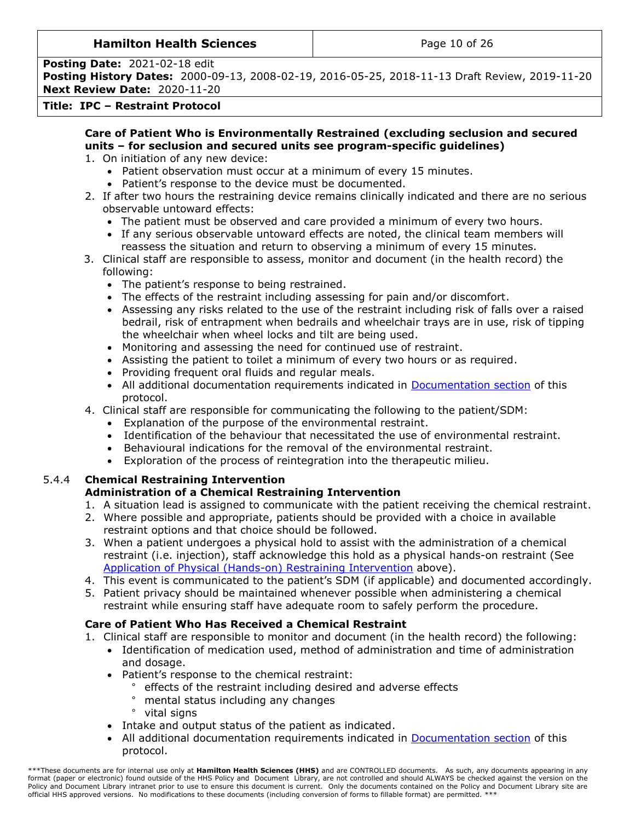## **Hamilton Health Sciences**  $\qquad$  **Page 10 of 26**

**Posting Date:** 2021-02-18 edit

**Posting History Dates:** 2000-09-13, 2008-02-19, 2016-05-25, 2018-11-13 Draft Review, 2019-11-20 **Next Review Date:** 2020-11-20

### **Title: IPC – Restraint Protocol**

#### **Care of Patient Who is Environmentally Restrained (excluding seclusion and secured units – for seclusion and secured units see program-specific guidelines)**

- 1. On initiation of any new device:
	- Patient observation must occur at a minimum of every 15 minutes.
	- Patient's response to the device must be documented.
- 2. If after two hours the restraining device remains clinically indicated and there are no serious observable untoward effects:
	- The patient must be observed and care provided a minimum of every two hours.
	- If any serious observable untoward effects are noted, the clinical team members will reassess the situation and return to observing a minimum of every 15 minutes.
- 3. Clinical staff are responsible to assess, monitor and document (in the health record) the following:
	- The patient's response to being restrained.
	- The effects of the restraint including assessing for pain and/or discomfort.
	- Assessing any risks related to the use of the restraint including risk of falls over a raised bedrail, risk of entrapment when bedrails and wheelchair trays are in use, risk of tipping the wheelchair when wheel locks and tilt are being used.
	- Monitoring and assessing the need for continued use of restraint.
	- Assisting the patient to toilet a minimum of every two hours or as required.
	- Providing frequent oral fluids and regular meals.
	- All additional documentation requirements indicated in [Documentation section](#page-10-2) of this protocol.
- 4. Clinical staff are responsible for communicating the following to the patient/SDM:
	- Explanation of the purpose of the environmental restraint.
	- Identification of the behaviour that necessitated the use of environmental restraint.
	- Behavioural indications for the removal of the environmental restraint.
	- Exploration of the process of reintegration into the therapeutic milieu.

# 5.4.4 **Chemical Restraining Intervention**

## <span id="page-9-0"></span>**Administration of a Chemical Restraining Intervention**

- 1. A situation lead is assigned to communicate with the patient receiving the chemical restraint.
- 2. Where possible and appropriate, patients should be provided with a choice in available restraint options and that choice should be followed.
- 3. When a patient undergoes a physical hold to assist with the administration of a chemical restraint (i.e. injection), staff acknowledge this hold as a physical hands-on restraint (See [Application of Physical \(Hands-on\) Restraining Intervention](#page-6-0) above).
- 4. This event is communicated to the patient's SDM (if applicable) and documented accordingly.
- 5. Patient privacy should be maintained whenever possible when administering a chemical restraint while ensuring staff have adequate room to safely perform the procedure.

## **Care of Patient Who Has Received a Chemical Restraint**

- 1. Clinical staff are responsible to monitor and document (in the health record) the following:
	- Identification of medication used, method of administration and time of administration and dosage.
	- Patient's response to the chemical restraint:
		- ° effects of the restraint including desired and adverse effects
		- ° mental status including any changes
		- ° vital signs
	- Intake and output status of the patient as indicated.
	- All additional documentation requirements indicated in [Documentation section](#page-10-2) of this protocol.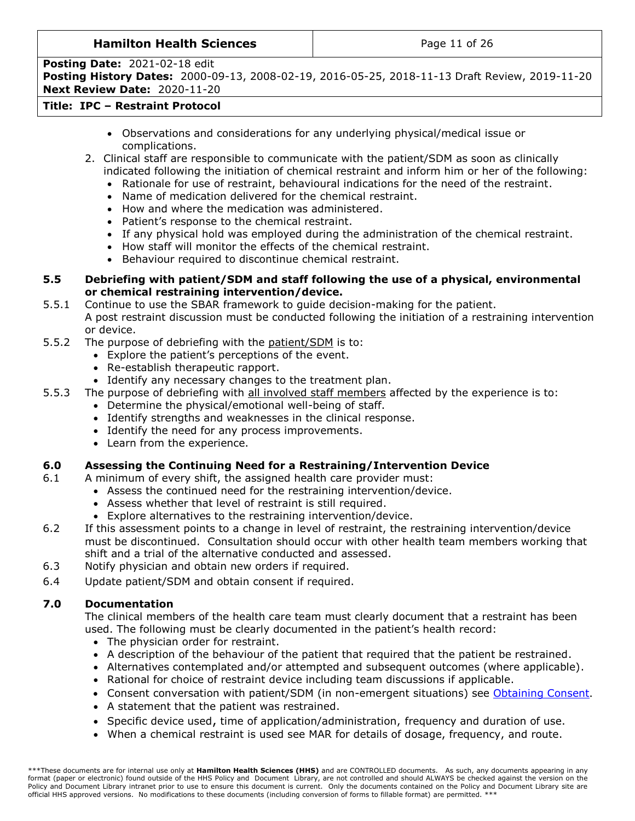## **Hamilton Health Sciences**  $\qquad$  **Page 11 of 26**

**Posting Date:** 2021-02-18 edit **Posting History Dates:** 2000-09-13, 2008-02-19, 2016-05-25, 2018-11-13 Draft Review, 2019-11-20

**Next Review Date:** 2020-11-20

# **Title: IPC – Restraint Protocol**

- Observations and considerations for any underlying physical/medical issue or complications.
- 2. Clinical staff are responsible to communicate with the patient/SDM as soon as clinically indicated following the initiation of chemical restraint and inform him or her of the following:
	- Rationale for use of restraint, behavioural indications for the need of the restraint.
	- Name of medication delivered for the chemical restraint.
	- How and where the medication was administered.
	- Patient's response to the chemical restraint.
	- If any physical hold was employed during the administration of the chemical restraint.
	- How staff will monitor the effects of the chemical restraint.
	- Behaviour required to discontinue chemical restraint.

#### <span id="page-10-0"></span>**5.5 Debriefing with patient/SDM and staff following the use of a physical, environmental or chemical restraining intervention/device.**

5.5.1 Continue to use the SBAR framework to guide decision-making for the patient. A post restraint discussion must be conducted following the initiation of a restraining intervention or device.

- 5.5.2 The purpose of debriefing with the patient/SDM is to:
	- Explore the patient's perceptions of the event.
		- Re-establish therapeutic rapport.
	- Identify any necessary changes to the treatment plan.
- 5.5.3 The purpose of debriefing with all involved staff members affected by the experience is to:
	- Determine the physical/emotional well-being of staff.
	- Identify strengths and weaknesses in the clinical response.
	- Identify the need for any process improvements.
	- Learn from the experience.

#### <span id="page-10-1"></span>**6.0 Assessing the Continuing Need for a Restraining/Intervention Device**

- 6.1 A minimum of every shift, the assigned health care provider must:
	- Assess the continued need for the restraining intervention/device.
		- Assess whether that level of restraint is still required.
		- Explore alternatives to the restraining intervention/device.
- 6.2 If this assessment points to a change in level of restraint, the restraining intervention/device must be discontinued. Consultation should occur with other health team members working that shift and a trial of the alternative conducted and assessed.
- 6.3 Notify physician and obtain new orders if required.
- 6.4 Update patient/SDM and obtain consent if required.

#### **7.0 Documentation**

<span id="page-10-2"></span>The clinical members of the health care team must clearly document that a restraint has been used. The following must be clearly documented in the patient's health record:

- The physician order for restraint.
- A description of the behaviour of the patient that required that the patient be restrained.
- Alternatives contemplated and/or attempted and subsequent outcomes (where applicable).
- Rational for choice of restraint device including team discussions if applicable.
- Consent conversation with patient/SDM (in non-emergent situations) see [Obtaining Consent](#page-5-0).
- A statement that the patient was restrained.
- Specific device used, time of application/administration, frequency and duration of use.
- When a chemical restraint is used see MAR for details of dosage, frequency, and route.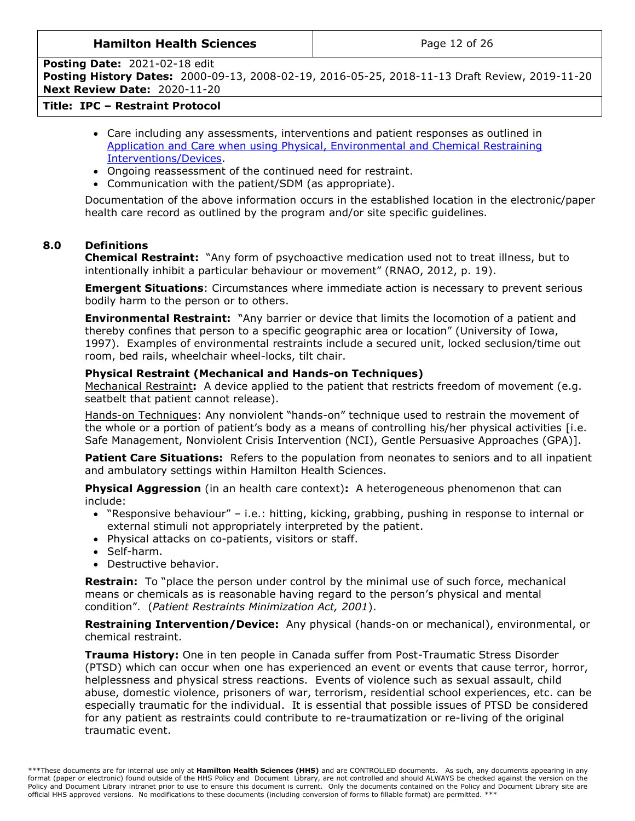#### **Hamilton Health Sciences**  $\qquad$  **Page 12 of 26**

**Posting Date:** 2021-02-18 edit

**Posting History Dates:** 2000-09-13, 2008-02-19, 2016-05-25, 2018-11-13 Draft Review, 2019-11-20 **Next Review Date:** 2020-11-20

## **Title: IPC – Restraint Protocol**

- Care including any assessments, interventions and patient responses as outlined in [Application and Care when using Physical, Environmental and Chemical Restraining](#page-5-2)  [Interventions/Devices.](#page-5-2)
- Ongoing reassessment of the continued need for restraint.
- Communication with the patient/SDM (as appropriate).

Documentation of the above information occurs in the established location in the electronic/paper health care record as outlined by the program and/or site specific guidelines.

## **8.0 Definitions**

<span id="page-11-0"></span>**Chemical Restraint:** "Any form of psychoactive medication used not to treat illness, but to intentionally inhibit a particular behaviour or movement" (RNAO, 2012, p. 19).

**Emergent Situations**: Circumstances where immediate action is necessary to prevent serious bodily harm to the person or to others.

**Environmental Restraint:** "Any barrier or device that limits the locomotion of a patient and thereby confines that person to a specific geographic area or location" (University of Iowa, 1997). Examples of environmental restraints include a secured unit, locked seclusion/time out room, bed rails, wheelchair wheel-locks, tilt chair.

#### **Physical Restraint (Mechanical and Hands-on Techniques)**

<span id="page-11-4"></span>Mechanical Restraint**:** A device applied to the patient that restricts freedom of movement (e.g. seatbelt that patient cannot release).

Hands-on Techniques: Any nonviolent "hands-on" technique used to restrain the movement of the whole or a portion of patient's body as a means of controlling his/her physical activities [i.e. Safe Management, Nonviolent Crisis Intervention (NCI), Gentle Persuasive Approaches (GPA)].

<span id="page-11-3"></span>**Patient Care Situations:** Refers to the population from neonates to seniors and to all inpatient and ambulatory settings within Hamilton Health Sciences.

**Physical Aggression** (in an health care context)**:** A heterogeneous phenomenon that can include:

- "Responsive behaviour" i.e.: hitting, kicking, grabbing, pushing in response to internal or external stimuli not appropriately interpreted by the patient.
- Physical attacks on co-patients, visitors or staff.
- Self-harm.
- Destructive behavior.

<span id="page-11-1"></span>**Restrain:** To "place the person under control by the minimal use of such force, mechanical means or chemicals as is reasonable having regard to the person's physical and mental condition". (*Patient Restraints Minimization Act, 2001*).

<span id="page-11-2"></span>**Restraining Intervention/Device:** Any physical (hands-on or mechanical), environmental, or chemical restraint.

**Trauma History:** One in ten people in Canada suffer from Post-Traumatic Stress Disorder (PTSD) which can occur when one has experienced an event or events that cause terror, horror, helplessness and physical stress reactions. Events of violence such as sexual assault, child abuse, domestic violence, prisoners of war, terrorism, residential school experiences, etc. can be especially traumatic for the individual. It is essential that possible issues of PTSD be considered for any patient as restraints could contribute to re-traumatization or re-living of the original traumatic event.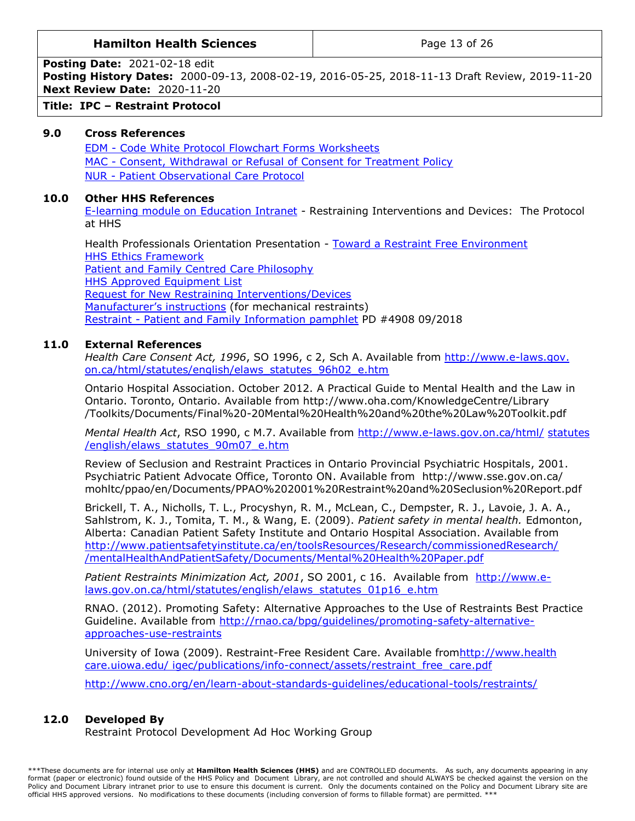#### **Hamilton Health Sciences**  $\vert$  **Page 13 of 26**

**Posting Date:** 2021-02-18 edit

**Posting History Dates:** 2000-09-13, 2008-02-19, 2016-05-25, 2018-11-13 Draft Review, 2019-11-20 **Next Review Date:** 2020-11-20

**Title: IPC – Restraint Protocol** 

#### **9.0 Cross References**

<span id="page-12-0"></span>EDM - [Code White Protocol Flowchart Forms Worksheets](http://policy.hhsc.ca/default.aspx?page=11&class27.IdType=policy&class27.Id=58011) MAC - [Consent, Withdrawal or Refusal of Consent for Treatment Policy](http://policy.hhsc.ca/default.aspx?page=11&class27.IdType=policy&class27.Id=60699) NUR - [Patient Observational Care Protocol](http://policy.hhsc.ca/default.aspx?page=11&class27.IdType=policy&class27.Id=65902)

#### **10.0 Other HHS References**

<span id="page-12-1"></span>[E-learning module on Education Intranet](https://hub.hhsc.ca/hhs-learn/clinical-practice-education/eLearning) - Restraining Interventions and Devices: The Protocol at HHS

Health Professionals Orientation Presentation - [Toward a Restraint Free Environment](https://hub.hhsc.ca/hhs-learn/clinical-practice-education/New-Employee-Orientation/CPE%20Health%20Professional%20Reference%20Documents/04.%20Moving%20Toward%20Restraint-Free%20Care.pdf) [HHS Ethics Framework](https://hub.hhsc.ca/about-us/hhs-teams/ethics/PublishingImages/Pages/Ethics-Resources/Ethics%20Framework%20September2019.pdf) [Patient and Family Centred Care Philosophy](https://www.hamiltonhealthsciences.ca/patients-visitors/patient-experience-feedback/)  [HHS Approved Equipment List](https://ishare.hhsc.ca/sites/committees/cbp/PublishingImages/Pages/Restraints-Clinical-Best-Practice-Committee/List%20of%20HHS%20Mechanical%20Restraints%20March%202019.pdf) [Request for New Restraining Interventions/Devices](https://ishare.hhsc.ca/corporate/psc/RequisitionToPurchase/eRTP/SitePages/Home.aspx) [Manufacturer's instructions](https://ishare.hhsc.ca/sites/committees/cbp/PublishingImages/Pages/Restraints-Clinical-Best-Practice-Committee/List%20of%20HHS%20Mechanical%20Restraints%20March%202019.pdf) (for mechanical restraints) Restraint - [Patient and Family Information pamphlet](https://www.hamiltonhealthsciences.ca/restraints-information-for-patients-and-families/) PD #4908 09/2018

#### **11.0 External References**

<span id="page-12-2"></span>*Health Care Consent Act, 1996*, SO 1996, c 2, Sch A. Available from [http://www.e-laws.gov.](http://www.e-laws.gov.on.ca/html/statutes/english/elaws_statutes_96h02_e.htm) [on.ca/html/statutes/english/elaws\\_statutes\\_96h02\\_e.htm](http://www.e-laws.gov.on.ca/html/statutes/english/elaws_statutes_96h02_e.htm)

Ontario Hospital Association. October 2012. A Practical Guide to Mental Health and the Law in Ontario. Toronto, Ontario. Available from http://www.oha.com/KnowledgeCentre/Library /Toolkits/Documents/Final%20-20Mental%20Health%20and%20the%20Law%20Toolkit.pdf

*Mental Health Act*, RSO 1990, c M.7. Available from [http://www.e-laws.gov.on.ca/html/](http://www.e-laws.gov.on.ca/html/statutes/english/elaws_statutes_90m07_e.htm) [statutes](http://www.e-laws.gov.on.ca/html/statutes/english/elaws_statutes_90m07_e.htm)  [/english/elaws\\_statutes\\_90m07\\_e.htm](http://www.e-laws.gov.on.ca/html/statutes/english/elaws_statutes_90m07_e.htm)

Review of Seclusion and Restraint Practices in Ontario Provincial Psychiatric Hospitals, 2001. Psychiatric Patient Advocate Office, Toronto ON. Available from http://www.sse.gov.on.ca/ mohltc/ppao/en/Documents/PPAO%202001%20Restraint%20and%20Seclusion%20Report.pdf

Brickell, T. A., Nicholls, T. L., Procyshyn, R. M., McLean, C., Dempster, R. J., Lavoie, J. A. A., Sahlstrom, K. J., Tomita, T. M., & Wang, E. (2009). *Patient safety in mental health.* Edmonton, Alberta: Canadian Patient Safety Institute and Ontario Hospital Association. Available from <http://www.patientsafetyinstitute.ca/en/toolsResources/Research/commissionedResearch/> [/mentalHealthAndPatientSafety/Documents/Mental%20Health%20Paper.pdf](http://www.patientsafetyinstitute.ca/en/toolsResources/Research/commissionedResearch/mentalHealthAndPatientSafety/Documents/Mental%20Health%20Paper.pdf)

*Patient Restraints Minimization Act, 2001*, SO 2001, c 16. Available from [http://www.e](http://www.e-laws.gov.on.ca/html/statutes/english/elaws_statutes_01p16_e.htm)[laws.gov.on.ca/html/statutes/english/elaws\\_statutes\\_01p16\\_e.htm](http://www.e-laws.gov.on.ca/html/statutes/english/elaws_statutes_01p16_e.htm)

RNAO. (2012). Promoting Safety: Alternative Approaches to the Use of Restraints Best Practice Guideline. Available from [http://rnao.ca/bpg/guidelines/promoting-safety-alternative](http://rnao.ca/bpg/guidelines/promoting-safety-alternative-approaches-use-restraints)[approaches-use-restraints](http://rnao.ca/bpg/guidelines/promoting-safety-alternative-approaches-use-restraints)

University of Iowa (2009). Restraint-Free Resident Care. Available fro[mhttp://www.health](http://www.healthcare.uiowa.edu/igec/publications/info-connect/assets/restraint_free_care.pdf) [care.uiowa.edu/ igec/publications/info-connect/assets/restraint\\_free\\_care.pdf](http://www.healthcare.uiowa.edu/igec/publications/info-connect/assets/restraint_free_care.pdf)

<http://www.cno.org/en/learn-about-standards-guidelines/educational-tools/restraints/>

#### **12.0 Developed By**

<span id="page-12-3"></span>Restraint Protocol Development Ad Hoc Working Group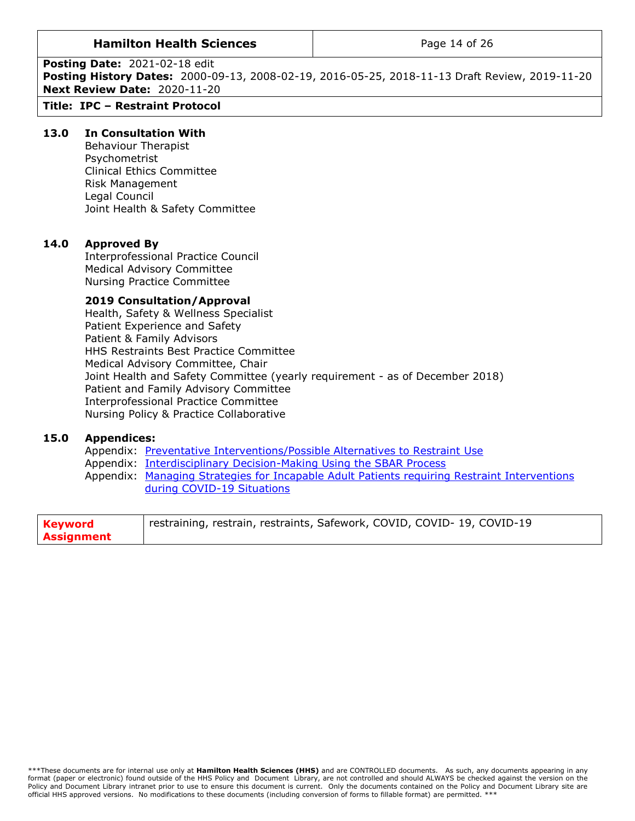#### **Hamilton Health Sciences** The Realth Page 14 of 26

**Posting Date:** 2021-02-18 edit

**Posting History Dates:** 2000-09-13, 2008-02-19, 2016-05-25, 2018-11-13 Draft Review, 2019-11-20 **Next Review Date:** 2020-11-20

## **Title: IPC – Restraint Protocol**

#### **13.0 In Consultation With**

<span id="page-13-0"></span>Behaviour Therapist Psychometrist Clinical Ethics Committee Risk Management Legal Council Joint Health & Safety Committee

#### **14.0 Approved By**

<span id="page-13-1"></span>Interprofessional Practice Council Medical Advisory Committee Nursing Practice Committee

#### **2019 Consultation/Approval**

Health, Safety & Wellness Specialist Patient Experience and Safety Patient & Family Advisors HHS Restraints Best Practice Committee Medical Advisory Committee, Chair Joint Health and Safety Committee (yearly requirement - as of December 2018) Patient and Family Advisory Committee Interprofessional Practice Committee Nursing Policy & Practice Collaborative

#### **15.0 Appendices:**

<span id="page-13-2"></span>Appendix: [Preventative Interventions/Possible Alternatives to Restraint](#page-14-0) Use Appendix: [Interdisciplinary Decision-Making Using the SBAR Process](#page-19-0) Appendix: [Managing Strategies for Incapable Adult Patients requiring Restraint Interventions](#page-20-0)  [during COVID-19 Situations](#page-20-0)

| <b>Keyword</b> | restraining, restrain, restraints, Safework, COVID, COVID- 19, COVID-19 |
|----------------|-------------------------------------------------------------------------|
| Assignment     |                                                                         |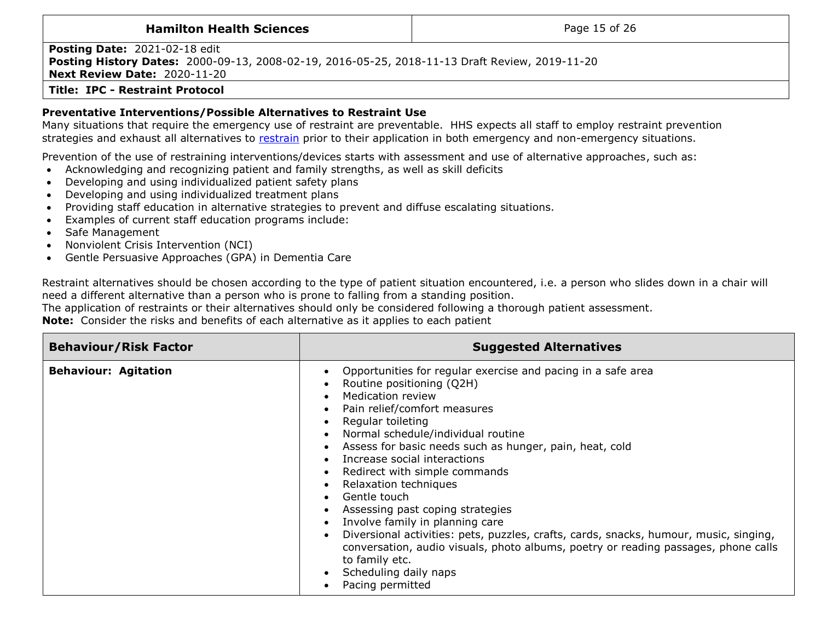| <b>Hamilton Health Sciences</b>                                                                                                                                               | Page 15 of 26 |
|-------------------------------------------------------------------------------------------------------------------------------------------------------------------------------|---------------|
| <b>Posting Date: 2021-02-18 edit</b><br>Posting History Dates: 2000-09-13, 2008-02-19, 2016-05-25, 2018-11-13 Draft Review, 2019-11-20<br><b>Next Review Date: 2020-11-20</b> |               |
| <b>Title: IPC - Restraint Protocol</b>                                                                                                                                        |               |

#### **Preventative Interventions/Possible Alternatives to Restraint Use**

Many situations that require the emergency use of restraint are preventable. HHS expects all staff to employ restraint prevention strategies and exhaust all alternatives to [restrain](#page-11-4) prior to their application in both emergency and non-emergency situations.

Prevention of the use of restraining interventions/devices starts with assessment and use of alternative approaches, such as:

- Acknowledging and recognizing patient and family strengths, as well as skill deficits
- Developing and using individualized patient safety plans
- Developing and using individualized treatment plans
- Providing staff education in alternative strategies to prevent and diffuse escalating situations.
- Examples of current staff education programs include:
- Safe Management
- Nonviolent Crisis Intervention (NCI)
- Gentle Persuasive Approaches (GPA) in Dementia Care

Restraint alternatives should be chosen according to the type of patient situation encountered, i.e. a person who slides down in a chair will need a different alternative than a person who is prone to falling from a standing position.

<span id="page-14-0"></span>The application of restraints or their alternatives should only be considered following a thorough patient assessment.

**Note:** Consider the risks and benefits of each alternative as it applies to each patient

| <b>Behaviour/Risk Factor</b> | <b>Suggested Alternatives</b>                                                                                                                                                                                                                                                                                                                                                                                                                                                                                                                                                                                                                                                                              |
|------------------------------|------------------------------------------------------------------------------------------------------------------------------------------------------------------------------------------------------------------------------------------------------------------------------------------------------------------------------------------------------------------------------------------------------------------------------------------------------------------------------------------------------------------------------------------------------------------------------------------------------------------------------------------------------------------------------------------------------------|
| <b>Behaviour: Agitation</b>  | Opportunities for regular exercise and pacing in a safe area<br>Routine positioning (Q2H)<br><b>Medication review</b><br>Pain relief/comfort measures<br>Regular toileting<br>Normal schedule/individual routine<br>Assess for basic needs such as hunger, pain, heat, cold<br>Increase social interactions<br>Redirect with simple commands<br>Relaxation techniques<br>Gentle touch<br>Assessing past coping strategies<br>Involve family in planning care<br>Diversional activities: pets, puzzles, crafts, cards, snacks, humour, music, singing,<br>conversation, audio visuals, photo albums, poetry or reading passages, phone calls<br>to family etc.<br>Scheduling daily naps<br>Pacing permitted |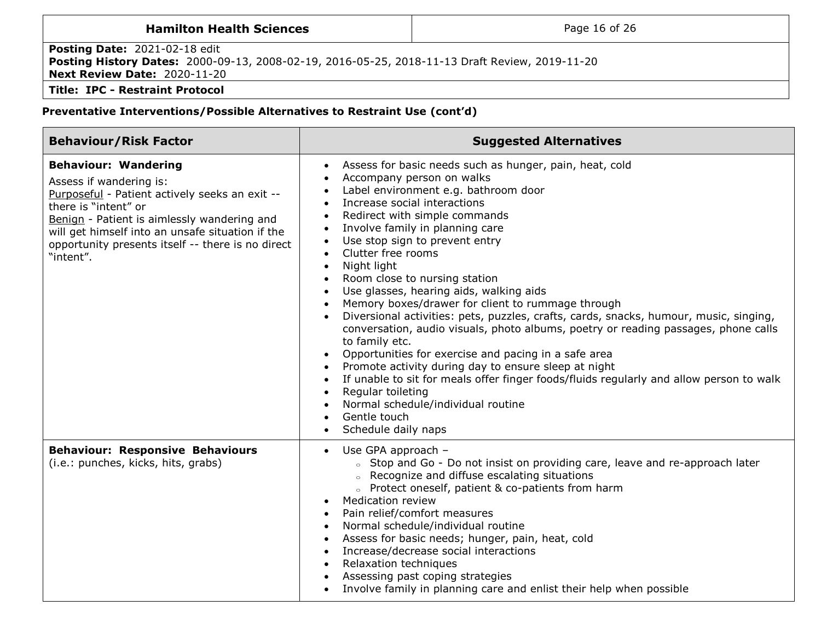# **Hamilton Health Sciences Page 16 of 26 Posting Date:** 2021-02-18 edit **Posting History Dates:** 2000-09-13, 2008-02-19, 2016-05-25, 2018-11-13 Draft Review, 2019-11-20 **Next Review Date:** 2020-11-20 **Title: IPC - Restraint Protocol**

| <b>Behaviour/Risk Factor</b>                                                                                                                                                                                                                                                                          | <b>Suggested Alternatives</b>                                                                                                                                                                                                                                                                                                                                                                                                                                                                                                                                                                                                                                                                                                                                                                                                                                                                                                                                                                                                                                                                                                   |
|-------------------------------------------------------------------------------------------------------------------------------------------------------------------------------------------------------------------------------------------------------------------------------------------------------|---------------------------------------------------------------------------------------------------------------------------------------------------------------------------------------------------------------------------------------------------------------------------------------------------------------------------------------------------------------------------------------------------------------------------------------------------------------------------------------------------------------------------------------------------------------------------------------------------------------------------------------------------------------------------------------------------------------------------------------------------------------------------------------------------------------------------------------------------------------------------------------------------------------------------------------------------------------------------------------------------------------------------------------------------------------------------------------------------------------------------------|
| <b>Behaviour: Wandering</b><br>Assess if wandering is:<br>Purposeful - Patient actively seeks an exit --<br>there is "intent" or<br>Benign - Patient is aimlessly wandering and<br>will get himself into an unsafe situation if the<br>opportunity presents itself -- there is no direct<br>"intent". | Assess for basic needs such as hunger, pain, heat, cold<br>$\bullet$<br>Accompany person on walks<br>$\bullet$<br>Label environment e.g. bathroom door<br>$\bullet$<br>Increase social interactions<br>$\bullet$<br>Redirect with simple commands<br>$\bullet$<br>Involve family in planning care<br>$\bullet$<br>Use stop sign to prevent entry<br>$\bullet$<br>Clutter free rooms<br>$\bullet$<br>Night light<br>$\bullet$<br>Room close to nursing station<br>$\bullet$<br>Use glasses, hearing aids, walking aids<br>$\bullet$<br>Memory boxes/drawer for client to rummage through<br>$\bullet$<br>Diversional activities: pets, puzzles, crafts, cards, snacks, humour, music, singing,<br>conversation, audio visuals, photo albums, poetry or reading passages, phone calls<br>to family etc.<br>Opportunities for exercise and pacing in a safe area<br>Promote activity during day to ensure sleep at night<br>If unable to sit for meals offer finger foods/fluids regularly and allow person to walk<br>Regular toileting<br>$\bullet$<br>Normal schedule/individual routine<br>Gentle touch<br>Schedule daily naps |
| <b>Behaviour: Responsive Behaviours</b><br>(i.e.: punches, kicks, hits, grabs)                                                                                                                                                                                                                        | Use GPA approach -<br>$\bullet$<br>o Stop and Go - Do not insist on providing care, leave and re-approach later<br>○ Recognize and diffuse escalating situations<br>o Protect oneself, patient & co-patients from harm<br><b>Medication review</b><br>$\bullet$<br>Pain relief/comfort measures<br>Normal schedule/individual routine<br>Assess for basic needs; hunger, pain, heat, cold<br>Increase/decrease social interactions<br>Relaxation techniques<br>Assessing past coping strategies<br>Involve family in planning care and enlist their help when possible                                                                                                                                                                                                                                                                                                                                                                                                                                                                                                                                                          |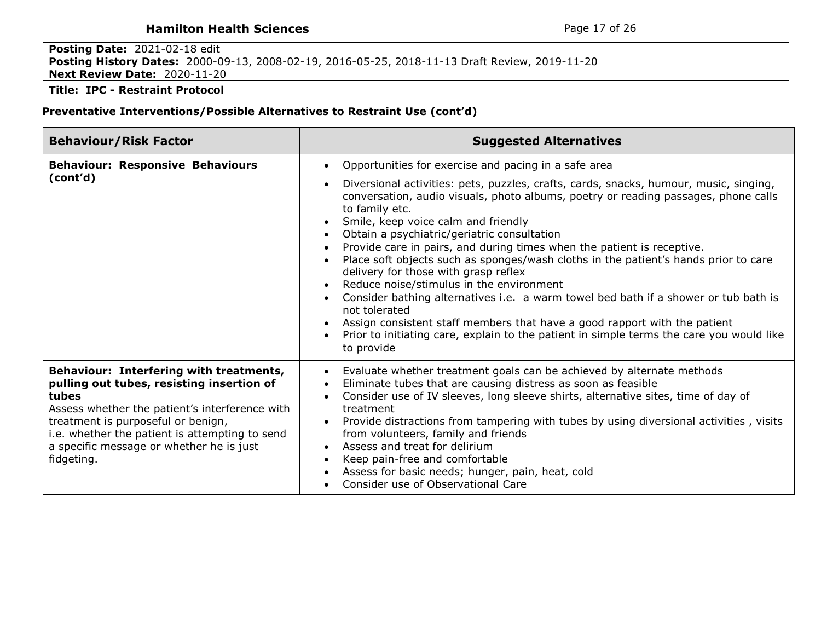# **Hamilton Health Sciences Page 17 of 26 Posting Date:** 2021-02-18 edit **Posting History Dates:** 2000-09-13, 2008-02-19, 2016-05-25, 2018-11-13 Draft Review, 2019-11-20 **Next Review Date:** 2020-11-20 **Title: IPC - Restraint Protocol**

| <b>Behaviour/Risk Factor</b>                                                                                                                                                                                                                                                                      | <b>Suggested Alternatives</b>                                                                                                                                                                                                                                                                                                                                                                                                                                                                                                                                                                                                                                                                                                                                                                                                                                                                                |
|---------------------------------------------------------------------------------------------------------------------------------------------------------------------------------------------------------------------------------------------------------------------------------------------------|--------------------------------------------------------------------------------------------------------------------------------------------------------------------------------------------------------------------------------------------------------------------------------------------------------------------------------------------------------------------------------------------------------------------------------------------------------------------------------------------------------------------------------------------------------------------------------------------------------------------------------------------------------------------------------------------------------------------------------------------------------------------------------------------------------------------------------------------------------------------------------------------------------------|
| <b>Behaviour: Responsive Behaviours</b><br>(cont'd)                                                                                                                                                                                                                                               | Opportunities for exercise and pacing in a safe area<br>$\bullet$<br>Diversional activities: pets, puzzles, crafts, cards, snacks, humour, music, singing,<br>conversation, audio visuals, photo albums, poetry or reading passages, phone calls<br>to family etc.<br>Smile, keep voice calm and friendly<br>Obtain a psychiatric/geriatric consultation<br>Provide care in pairs, and during times when the patient is receptive.<br>Place soft objects such as sponges/wash cloths in the patient's hands prior to care<br>delivery for those with grasp reflex<br>Reduce noise/stimulus in the environment<br>Consider bathing alternatives i.e. a warm towel bed bath if a shower or tub bath is<br>not tolerated<br>Assign consistent staff members that have a good rapport with the patient<br>Prior to initiating care, explain to the patient in simple terms the care you would like<br>to provide |
| Behaviour: Interfering with treatments,<br>pulling out tubes, resisting insertion of<br>tubes<br>Assess whether the patient's interference with<br>treatment is purposeful or benign,<br>i.e. whether the patient is attempting to send<br>a specific message or whether he is just<br>fidgeting. | Evaluate whether treatment goals can be achieved by alternate methods<br>$\bullet$<br>Eliminate tubes that are causing distress as soon as feasible<br>$\bullet$<br>Consider use of IV sleeves, long sleeve shirts, alternative sites, time of day of<br>$\bullet$<br>treatment<br>Provide distractions from tampering with tubes by using diversional activities, visits<br>from volunteers, family and friends<br>Assess and treat for delirium<br>Keep pain-free and comfortable<br>Assess for basic needs; hunger, pain, heat, cold<br>Consider use of Observational Care                                                                                                                                                                                                                                                                                                                                |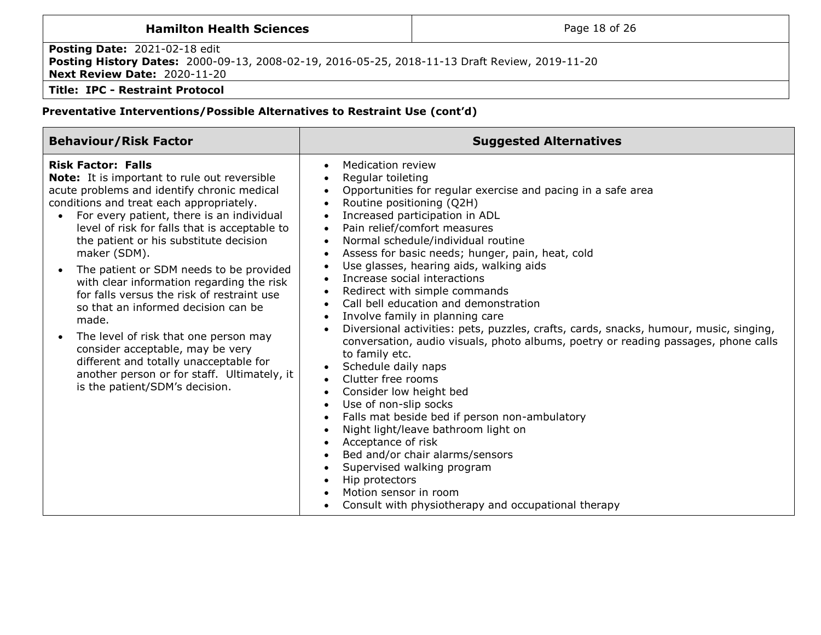| <b>Hamilton Health Sciences</b>                                                                                                                                               | Page 18 of 26 |
|-------------------------------------------------------------------------------------------------------------------------------------------------------------------------------|---------------|
| <b>Posting Date: 2021-02-18 edit</b><br>Posting History Dates: 2000-09-13, 2008-02-19, 2016-05-25, 2018-11-13 Draft Review, 2019-11-20<br><b>Next Review Date: 2020-11-20</b> |               |
| <b>Title: IPC - Restraint Protocol</b>                                                                                                                                        |               |

| <b>Behaviour/Risk Factor</b>                                                                                                                                                                                                                                                                                                                                                                                                                                                                                                                                                                                                                                                                                                                                | <b>Suggested Alternatives</b>                                                                                                                                                                                                                                                                                                                                                                                                                                                                                                                                                                                                                                                                                                                                                                                                                                                                                                                                                                                                                                                                                                                      |
|-------------------------------------------------------------------------------------------------------------------------------------------------------------------------------------------------------------------------------------------------------------------------------------------------------------------------------------------------------------------------------------------------------------------------------------------------------------------------------------------------------------------------------------------------------------------------------------------------------------------------------------------------------------------------------------------------------------------------------------------------------------|----------------------------------------------------------------------------------------------------------------------------------------------------------------------------------------------------------------------------------------------------------------------------------------------------------------------------------------------------------------------------------------------------------------------------------------------------------------------------------------------------------------------------------------------------------------------------------------------------------------------------------------------------------------------------------------------------------------------------------------------------------------------------------------------------------------------------------------------------------------------------------------------------------------------------------------------------------------------------------------------------------------------------------------------------------------------------------------------------------------------------------------------------|
| <b>Risk Factor: Falls</b><br><b>Note:</b> It is important to rule out reversible<br>acute problems and identify chronic medical<br>conditions and treat each appropriately.<br>For every patient, there is an individual<br>level of risk for falls that is acceptable to<br>the patient or his substitute decision<br>maker (SDM).<br>The patient or SDM needs to be provided<br>$\bullet$<br>with clear information regarding the risk<br>for falls versus the risk of restraint use<br>so that an informed decision can be<br>made.<br>The level of risk that one person may<br>$\bullet$<br>consider acceptable, may be very<br>different and totally unacceptable for<br>another person or for staff. Ultimately, it<br>is the patient/SDM's decision. | <b>Medication review</b><br>$\bullet$<br>Regular toileting<br>Opportunities for regular exercise and pacing in a safe area<br>Routine positioning (Q2H)<br>Increased participation in ADL<br>Pain relief/comfort measures<br>$\bullet$<br>Normal schedule/individual routine<br>Assess for basic needs; hunger, pain, heat, cold<br>Use glasses, hearing aids, walking aids<br>$\bullet$<br>Increase social interactions<br>Redirect with simple commands<br>Call bell education and demonstration<br>$\bullet$<br>Involve family in planning care<br>Diversional activities: pets, puzzles, crafts, cards, snacks, humour, music, singing,<br>conversation, audio visuals, photo albums, poetry or reading passages, phone calls<br>to family etc.<br>Schedule daily naps<br>Clutter free rooms<br>$\bullet$<br>Consider low height bed<br>Use of non-slip socks<br>Falls mat beside bed if person non-ambulatory<br>Night light/leave bathroom light on<br>Acceptance of risk<br>Bed and/or chair alarms/sensors<br>Supervised walking program<br>Hip protectors<br>Motion sensor in room<br>Consult with physiotherapy and occupational therapy |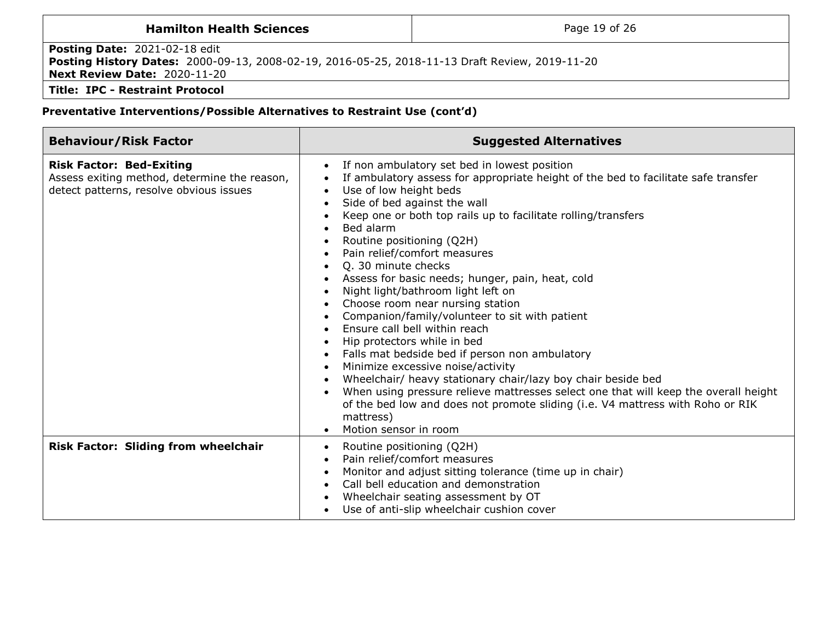| <b>Hamilton Health Sciences</b>                                                                                                                                               | Page 19 of 26 |  |  |  |
|-------------------------------------------------------------------------------------------------------------------------------------------------------------------------------|---------------|--|--|--|
| <b>Posting Date: 2021-02-18 edit</b><br>Posting History Dates: 2000-09-13, 2008-02-19, 2016-05-25, 2018-11-13 Draft Review, 2019-11-20<br><b>Next Review Date: 2020-11-20</b> |               |  |  |  |
| Title: IPC - Restraint Protocol                                                                                                                                               |               |  |  |  |

| <b>Behaviour/Risk Factor</b>                                                                                               | <b>Suggested Alternatives</b>                                                                                                                                                                                                                                                                                                                                                                                                                                                                                                                                                                                                                                                                                                                                                                                                                                                                                                                                                        |
|----------------------------------------------------------------------------------------------------------------------------|--------------------------------------------------------------------------------------------------------------------------------------------------------------------------------------------------------------------------------------------------------------------------------------------------------------------------------------------------------------------------------------------------------------------------------------------------------------------------------------------------------------------------------------------------------------------------------------------------------------------------------------------------------------------------------------------------------------------------------------------------------------------------------------------------------------------------------------------------------------------------------------------------------------------------------------------------------------------------------------|
| <b>Risk Factor: Bed-Exiting</b><br>Assess exiting method, determine the reason,<br>detect patterns, resolve obvious issues | If non ambulatory set bed in lowest position<br>If ambulatory assess for appropriate height of the bed to facilitate safe transfer<br>Use of low height beds<br>Side of bed against the wall<br>Keep one or both top rails up to facilitate rolling/transfers<br>Bed alarm<br>Routine positioning (Q2H)<br>Pain relief/comfort measures<br>Q. 30 minute checks<br>Assess for basic needs; hunger, pain, heat, cold<br>Night light/bathroom light left on<br>Choose room near nursing station<br>Companion/family/volunteer to sit with patient<br>Ensure call bell within reach<br>Hip protectors while in bed<br>Falls mat bedside bed if person non ambulatory<br>Minimize excessive noise/activity<br>Wheelchair/ heavy stationary chair/lazy boy chair beside bed<br>When using pressure relieve mattresses select one that will keep the overall height<br>of the bed low and does not promote sliding (i.e. V4 mattress with Roho or RIK<br>mattress)<br>Motion sensor in room |
| <b>Risk Factor: Sliding from wheelchair</b>                                                                                | Routine positioning (Q2H)<br>$\bullet$<br>Pain relief/comfort measures<br>Monitor and adjust sitting tolerance (time up in chair)<br>Call bell education and demonstration<br>Wheelchair seating assessment by OT<br>Use of anti-slip wheelchair cushion cover                                                                                                                                                                                                                                                                                                                                                                                                                                                                                                                                                                                                                                                                                                                       |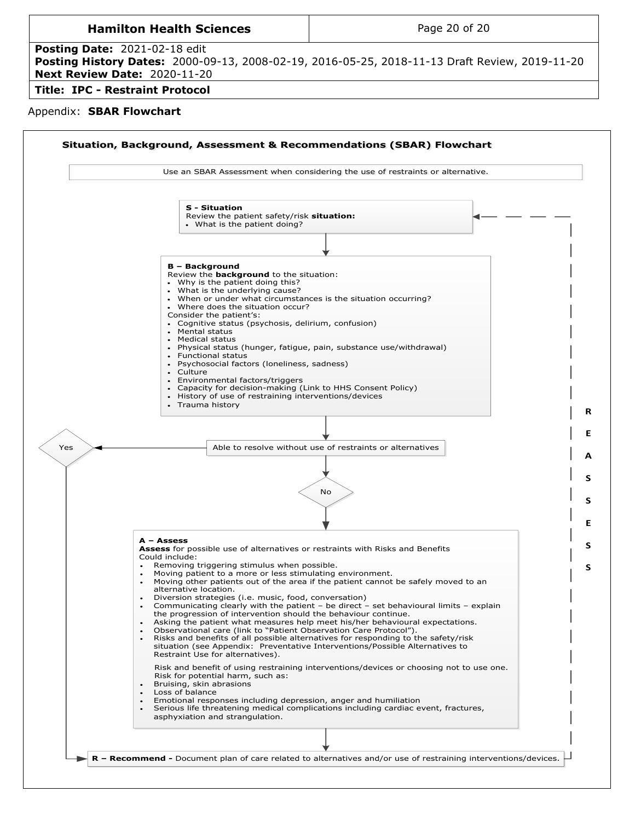<span id="page-19-0"></span>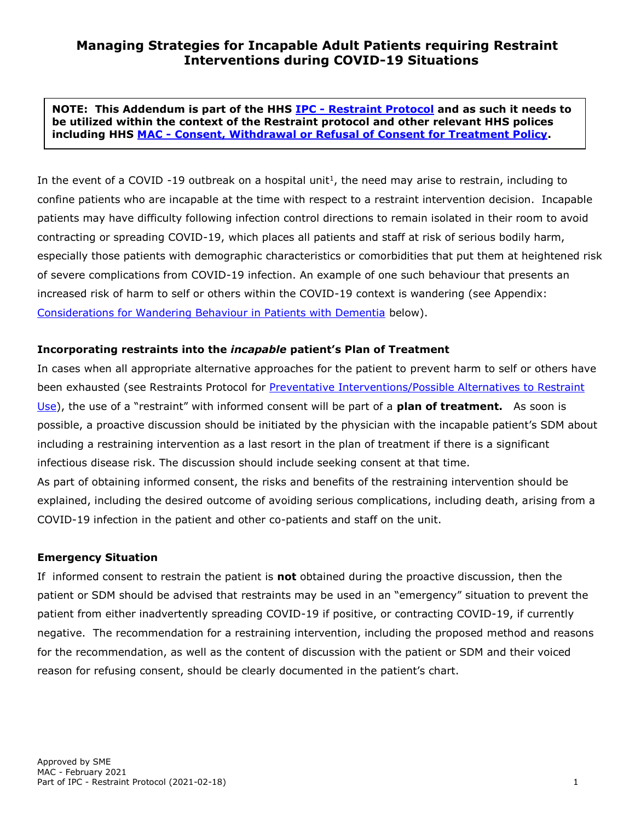<span id="page-20-0"></span>**NOTE: This Addendum is part of the HHS IPC - [Restraint Protocol](http://policy.hhsc.ca/Site_Published/hhsc/document_render.aspx?documentRender.IdType=6&documentRender.GenericField=&documentRender.Id=99172) and as such it needs to be utilized within the context of the Restraint protocol and other relevant HHS polices including HHS MAC - [Consent, Withdrawal or Refusal of Consent for Treatment Policy.](http://policy.hhsc.ca/Site_Published/hhsc/document_render.aspx?documentRender.IdType=6&documentRender.GenericField=&documentRender.Id=95276)**

In the event of a COVID -19 outbreak on a hospital unit<sup>1</sup>, the need may arise to restrain, including to confine patients who are incapable at the time with respect to a restraint intervention decision. Incapable patients may have difficulty following infection control directions to remain isolated in their room to avoid contracting or spreading COVID-19, which places all patients and staff at risk of serious bodily harm, especially those patients with demographic characteristics or comorbidities that put them at heightened risk of severe complications from COVID-19 infection. An example of one such behaviour that presents an increased risk of harm to self or others within the COVID-19 context is wandering (see Appendix: [Considerations for Wandering Behaviour in Patients with Dementia](#page-25-0) below).

## **Incorporating restraints into the** *incapable* **patient's Plan of Treatment**

In cases when all appropriate alternative approaches for the patient to prevent harm to self or others have been exhausted (see Restraints Protocol for [Preventative Interventions/Possible Alternatives to Restraint](#page-14-0) [Use](#page-14-0)), the use of a "restraint" with informed consent will be part of a **plan of treatment.** As soon is possible, a proactive discussion should be initiated by the physician with the incapable patient's SDM about including a restraining intervention as a last resort in the plan of treatment if there is a significant infectious disease risk. The discussion should include seeking consent at that time. As part of obtaining informed consent, the risks and benefits of the restraining intervention should be explained, including the desired outcome of avoiding serious complications, including death, arising from a COVID-19 infection in the patient and other co-patients and staff on the unit.

#### **Emergency Situation**

If informed consent to restrain the patient is **not** obtained during the proactive discussion, then the patient or SDM should be advised that restraints may be used in an "emergency" situation to prevent the patient from either inadvertently spreading COVID-19 if positive, or contracting COVID-19, if currently negative. The recommendation for a restraining intervention, including the proposed method and reasons for the recommendation, as well as the content of discussion with the patient or SDM and their voiced reason for refusing consent, should be clearly documented in the patient's chart.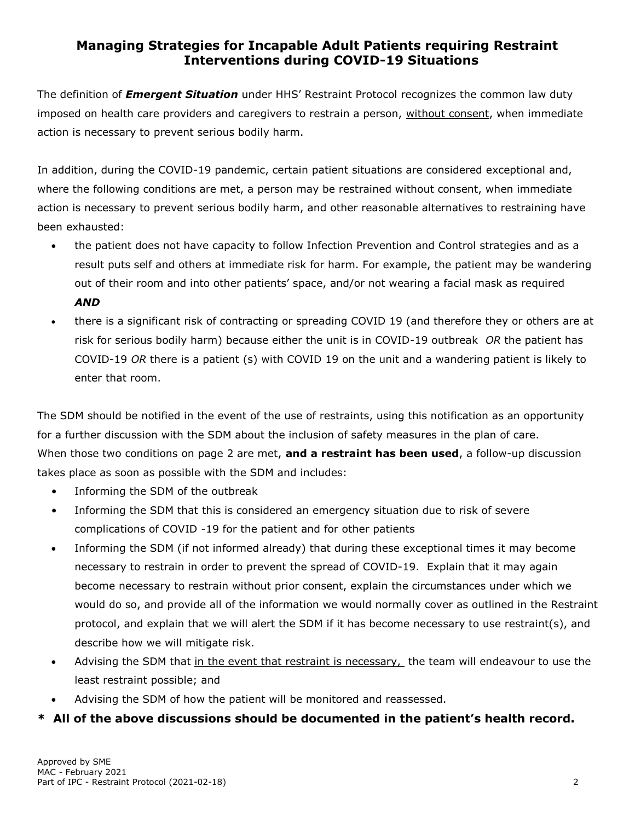The definition of *Emergent Situation* under HHS' Restraint Protocol recognizes the common law duty imposed on health care providers and caregivers to restrain a person, without consent, when immediate action is necessary to prevent serious bodily harm.

In addition, during the COVID-19 pandemic, certain patient situations are considered exceptional and, where the following conditions are met, a person may be restrained without consent, when immediate action is necessary to prevent serious bodily harm, and other reasonable alternatives to restraining have been exhausted:

- the patient does not have capacity to follow Infection Prevention and Control strategies and as a result puts self and others at immediate risk for harm. For example, the patient may be wandering out of their room and into other patients' space, and/or not wearing a facial mask as required *AND*
- there is a significant risk of contracting or spreading COVID 19 (and therefore they or others are at risk for serious bodily harm) because either the unit is in COVID-19 outbreak *OR* the patient has COVID-19 *OR* there is a patient (s) with COVID 19 on the unit and a wandering patient is likely to enter that room.

The SDM should be notified in the event of the use of restraints, using this notification as an opportunity for a further discussion with the SDM about the inclusion of safety measures in the plan of care. When those two conditions on page 2 are met, **and a restraint has been used**, a follow-up discussion takes place as soon as possible with the SDM and includes:

- Informing the SDM of the outbreak
- Informing the SDM that this is considered an emergency situation due to risk of severe complications of COVID -19 for the patient and for other patients
- Informing the SDM (if not informed already) that during these exceptional times it may become necessary to restrain in order to prevent the spread of COVID-19. Explain that it may again become necessary to restrain without prior consent, explain the circumstances under which we would do so, and provide all of the information we would normally cover as outlined in the Restraint protocol, and explain that we will alert the SDM if it has become necessary to use restraint(s), and describe how we will mitigate risk.
- Advising the SDM that in the event that restraint is necessary, the team will endeavour to use the least restraint possible; and
- Advising the SDM of how the patient will be monitored and reassessed.

# **\* All of the above discussions should be documented in the patient's health record.**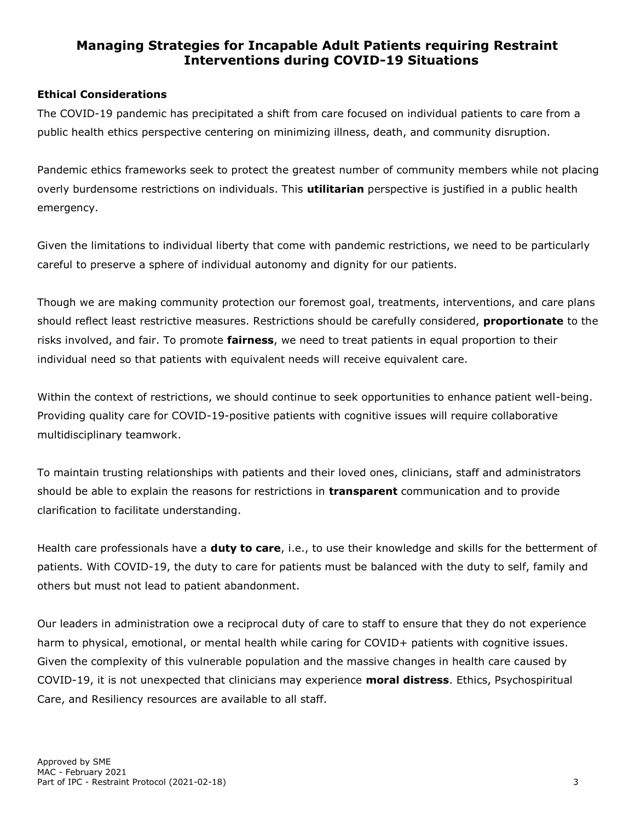## **Ethical Considerations**

The COVID-19 pandemic has precipitated a shift from care focused on individual patients to care from a public health ethics perspective centering on minimizing illness, death, and community disruption.

Pandemic ethics frameworks seek to protect the greatest number of community members while not placing overly burdensome restrictions on individuals. This **utilitarian** perspective is justified in a public health emergency.

Given the limitations to individual liberty that come with pandemic restrictions, we need to be particularly careful to preserve a sphere of individual autonomy and dignity for our patients.

Though we are making community protection our foremost goal, treatments, interventions, and care plans should reflect least restrictive measures. Restrictions should be carefully considered, **proportionate** to the risks involved, and fair. To promote **fairness**, we need to treat patients in equal proportion to their individual need so that patients with equivalent needs will receive equivalent care.

Within the context of restrictions, we should continue to seek opportunities to enhance patient well-being. Providing quality care for COVID-19-positive patients with cognitive issues will require collaborative multidisciplinary teamwork.

To maintain trusting relationships with patients and their loved ones, clinicians, staff and administrators should be able to explain the reasons for restrictions in **transparent** communication and to provide clarification to facilitate understanding.

Health care professionals have a **duty to care**, i.e., to use their knowledge and skills for the betterment of patients. With COVID-19, the duty to care for patients must be balanced with the duty to self, family and others but must not lead to patient abandonment.

Our leaders in administration owe a reciprocal duty of care to staff to ensure that they do not experience harm to physical, emotional, or mental health while caring for COVID+ patients with cognitive issues. Given the complexity of this vulnerable population and the massive changes in health care caused by COVID-19, it is not unexpected that clinicians may experience **moral distress**. Ethics, Psychospiritual Care, and Resiliency resources are available to all staff.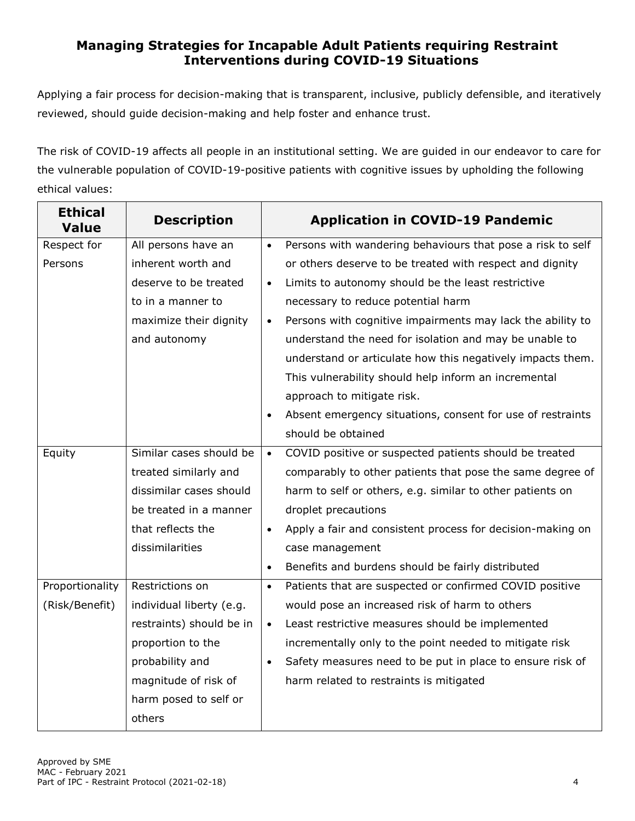Applying a fair process for decision-making that is transparent, inclusive, publicly defensible, and iteratively reviewed, should guide decision-making and help foster and enhance trust.

The risk of COVID-19 affects all people in an institutional setting. We are guided in our endeavor to care for the vulnerable population of COVID-19-positive patients with cognitive issues by upholding the following ethical values:

| <b>Ethical</b><br><b>Value</b> | <b>Description</b>       |           | <b>Application in COVID-19 Pandemic</b>                    |
|--------------------------------|--------------------------|-----------|------------------------------------------------------------|
| Respect for                    | All persons have an      | $\bullet$ | Persons with wandering behaviours that pose a risk to self |
| Persons                        | inherent worth and       |           | or others deserve to be treated with respect and dignity   |
|                                | deserve to be treated    | $\bullet$ | Limits to autonomy should be the least restrictive         |
|                                | to in a manner to        |           | necessary to reduce potential harm                         |
|                                | maximize their dignity   | $\bullet$ | Persons with cognitive impairments may lack the ability to |
|                                | and autonomy             |           | understand the need for isolation and may be unable to     |
|                                |                          |           | understand or articulate how this negatively impacts them. |
|                                |                          |           | This vulnerability should help inform an incremental       |
|                                |                          |           | approach to mitigate risk.                                 |
|                                |                          | $\bullet$ | Absent emergency situations, consent for use of restraints |
|                                |                          |           | should be obtained                                         |
| Equity                         | Similar cases should be  | $\bullet$ | COVID positive or suspected patients should be treated     |
|                                | treated similarly and    |           | comparably to other patients that pose the same degree of  |
|                                | dissimilar cases should  |           | harm to self or others, e.g. similar to other patients on  |
|                                | be treated in a manner   |           | droplet precautions                                        |
|                                | that reflects the        | $\bullet$ | Apply a fair and consistent process for decision-making on |
|                                | dissimilarities          |           | case management                                            |
|                                |                          | $\bullet$ | Benefits and burdens should be fairly distributed          |
| Proportionality                | Restrictions on          | $\bullet$ | Patients that are suspected or confirmed COVID positive    |
| (Risk/Benefit)                 | individual liberty (e.g. |           | would pose an increased risk of harm to others             |
|                                | restraints) should be in | $\bullet$ | Least restrictive measures should be implemented           |
|                                | proportion to the        |           | incrementally only to the point needed to mitigate risk    |
|                                | probability and          | $\bullet$ | Safety measures need to be put in place to ensure risk of  |
|                                | magnitude of risk of     |           | harm related to restraints is mitigated                    |
|                                | harm posed to self or    |           |                                                            |
|                                | others                   |           |                                                            |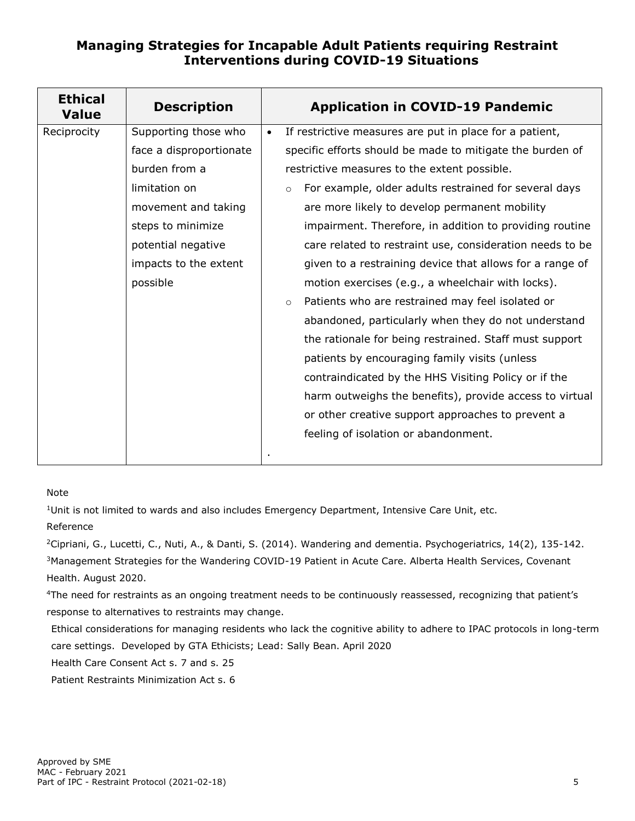| <b>Ethical</b><br><b>Value</b> | <b>Description</b>      |           | <b>Application in COVID-19 Pandemic</b>                          |
|--------------------------------|-------------------------|-----------|------------------------------------------------------------------|
| Reciprocity                    | Supporting those who    | $\bullet$ | If restrictive measures are put in place for a patient,          |
|                                | face a disproportionate |           | specific efforts should be made to mitigate the burden of        |
|                                | burden from a           |           | restrictive measures to the extent possible.                     |
|                                | limitation on           |           | For example, older adults restrained for several days<br>$\circ$ |
|                                | movement and taking     |           | are more likely to develop permanent mobility                    |
|                                | steps to minimize       |           | impairment. Therefore, in addition to providing routine          |
|                                | potential negative      |           | care related to restraint use, consideration needs to be         |
|                                | impacts to the extent   |           | given to a restraining device that allows for a range of         |
|                                | possible                |           | motion exercises (e.g., a wheelchair with locks).                |
|                                |                         |           | Patients who are restrained may feel isolated or<br>$\circ$      |
|                                |                         |           | abandoned, particularly when they do not understand              |
|                                |                         |           | the rationale for being restrained. Staff must support           |
|                                |                         |           | patients by encouraging family visits (unless                    |
|                                |                         |           | contraindicated by the HHS Visiting Policy or if the             |
|                                |                         |           | harm outweighs the benefits), provide access to virtual          |
|                                |                         |           | or other creative support approaches to prevent a                |
|                                |                         |           | feeling of isolation or abandonment.                             |
|                                |                         |           |                                                                  |

#### Note

<sup>1</sup>Unit is not limited to wards and also includes Emergency Department, Intensive Care Unit, etc. Reference

<sup>2</sup>Cipriani, G., Lucetti, C., Nuti, A., & Danti, S. (2014). Wandering and dementia. Psychogeriatrics, 14(2), 135-142. <sup>3</sup>Management Strategies for the Wandering COVID-19 Patient in Acute Care. Alberta Health Services, Covenant Health. August 2020.

<sup>4</sup>The need for restraints as an ongoing treatment needs to be continuously reassessed, recognizing that patient's response to alternatives to restraints may change.

Ethical considerations for managing residents who lack the cognitive ability to adhere to IPAC protocols in long-term care settings. Developed by GTA Ethicists; Lead: Sally Bean. April 2020

Health Care Consent Act s. 7 and s. 25

Patient Restraints Minimization Act s. 6